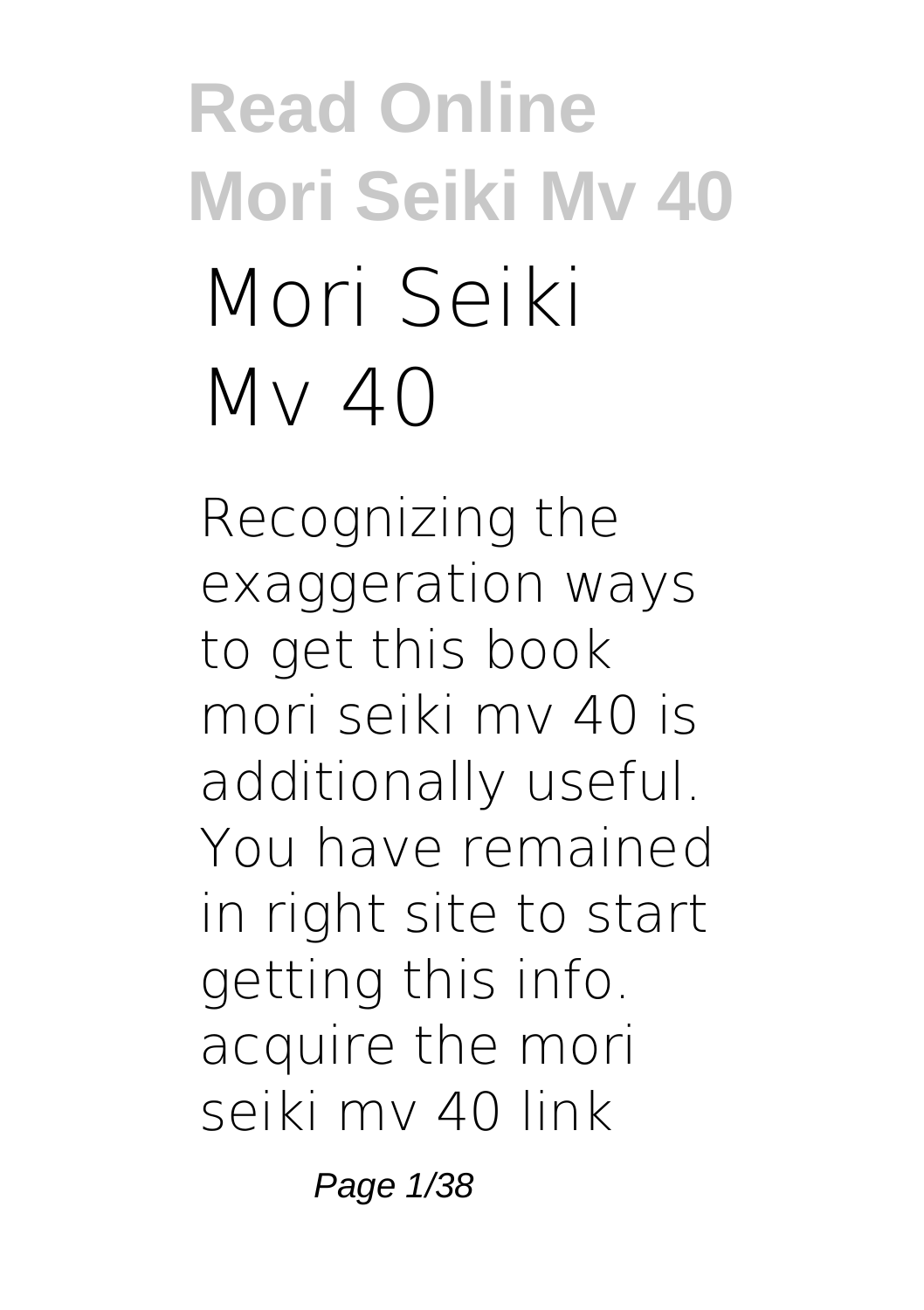# **Read Online Mori Seiki Mv 40 Mori Seiki Mv 40**

Recognizing the exaggeration ways to get this book **mori seiki mv 40** is additionally useful. You have remained in right site to start getting this info. acquire the mori seiki mv 40 link

Page 1/38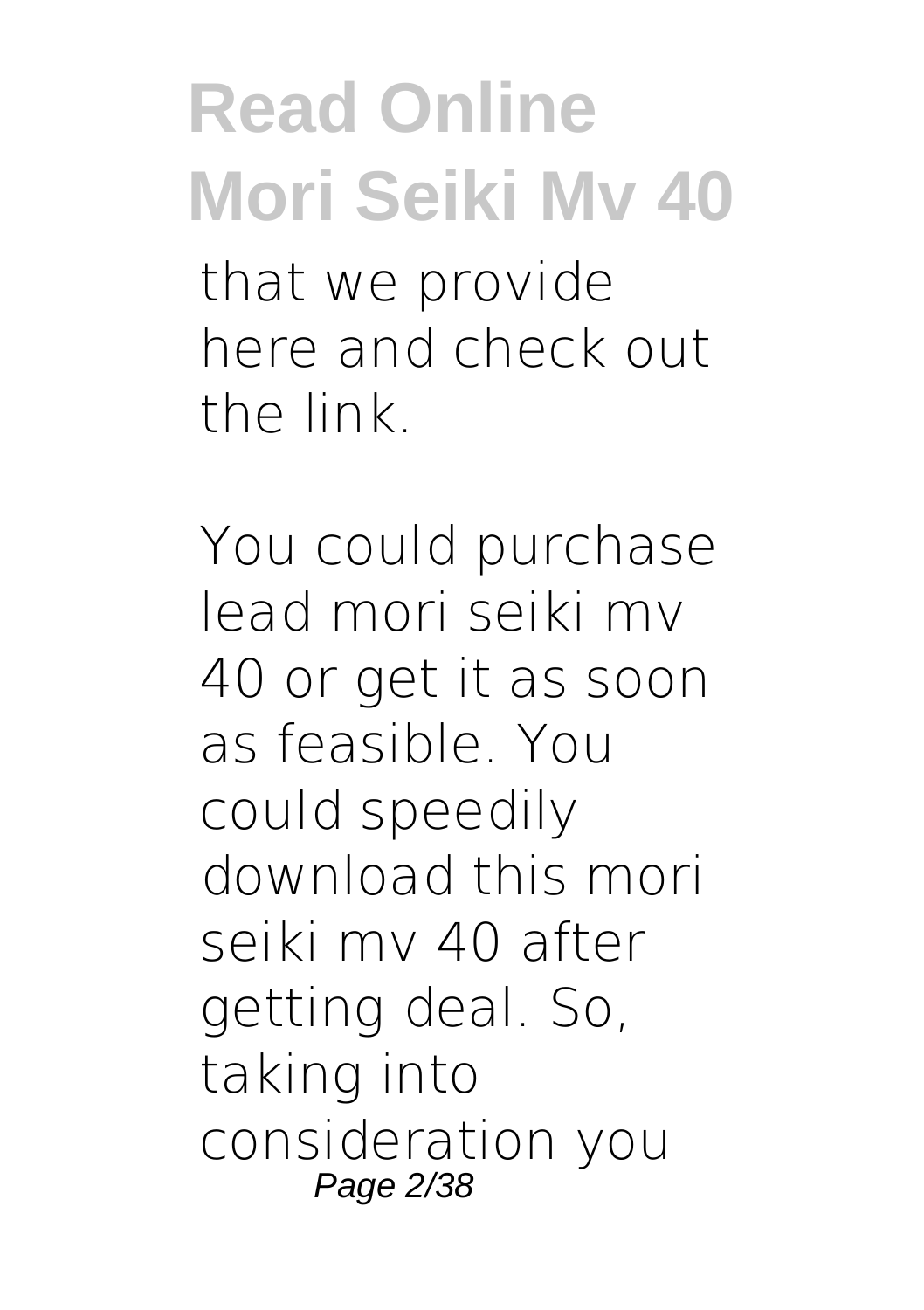that we provide here and check out the link.

You could purchase lead mori seiki mv 40 or get it as soon as feasible. You could speedily download this mori seiki mv 40 after getting deal. So, taking into consideration you Page 2/38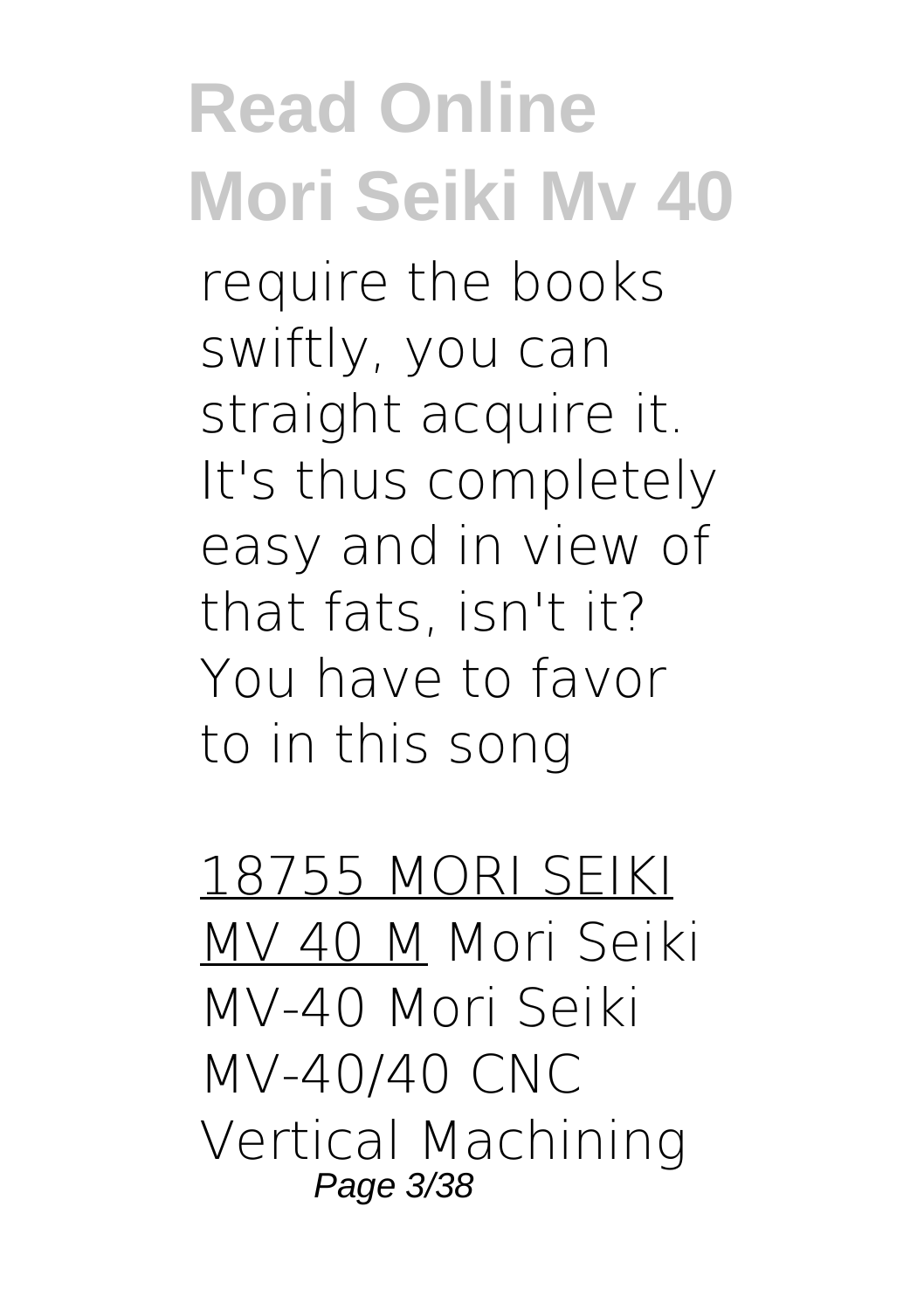**Read Online Mori Seiki Mv 40** require the books swiftly, you can straight acquire it. It's thus completely easy and in view of that fats, isn't it? You have to favor to in this song

18755 MORI SEIKI MV 40 M Mori Seiki MV-40 **Mori Seiki MV-40/40 CNC Vertical Machining** Page 3/38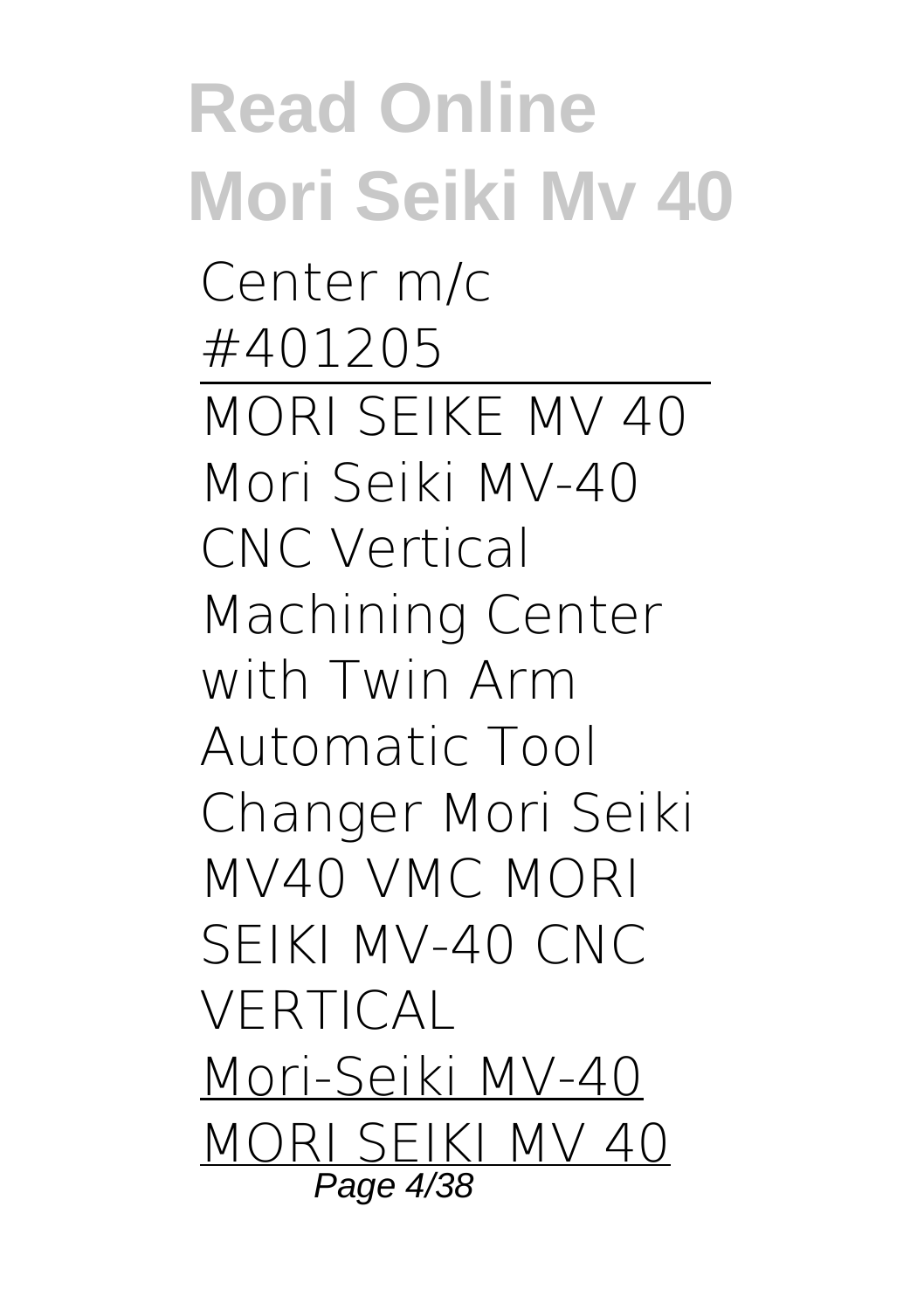**Read Online Mori Seiki Mv 40 Center m/c #401205** MORI SEIKE MV 40 *Mori Seiki MV-40 CNC Vertical Machining Center with Twin Arm Automatic Tool Changer Mori Seiki MV40 VMC MORI SEIKI MV-40 CNC VERTICAL* Mori-Seiki MV-40 MORI SEIKI MV 40 Page 4/38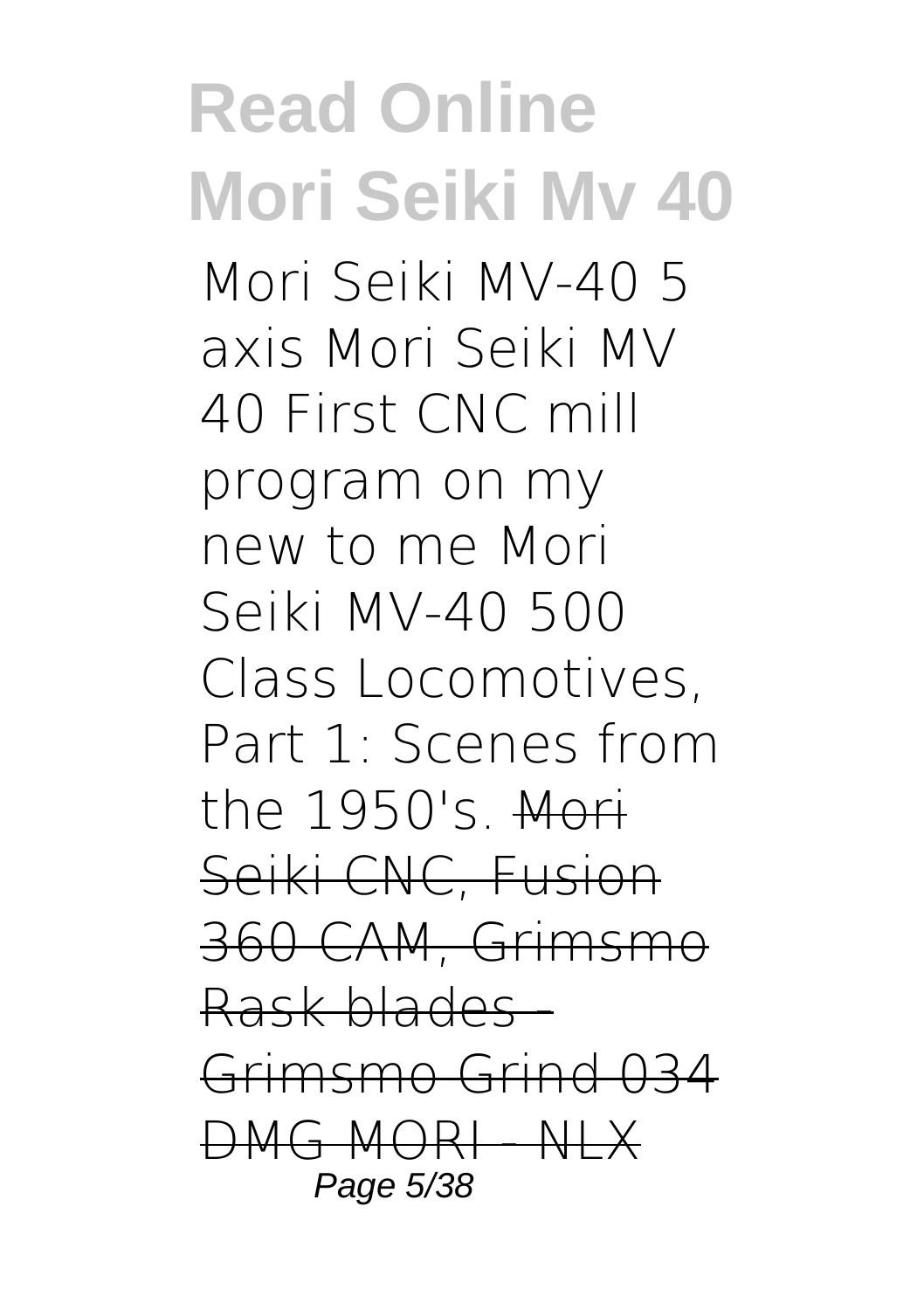**Read Online Mori Seiki Mv 40** *Mori Seiki MV-40 5 axis Mori Seiki MV 40 First CNC mill program on my new to me Mori Seiki MV-40 500 Class Locomotives, Part 1: Scenes from the 1950's.* Mori Seiki CNC, Fusion 360 CAM, Grimsmo Rask blades - Grimsmo Grind 034 DMG MORI - NLX Page 5/38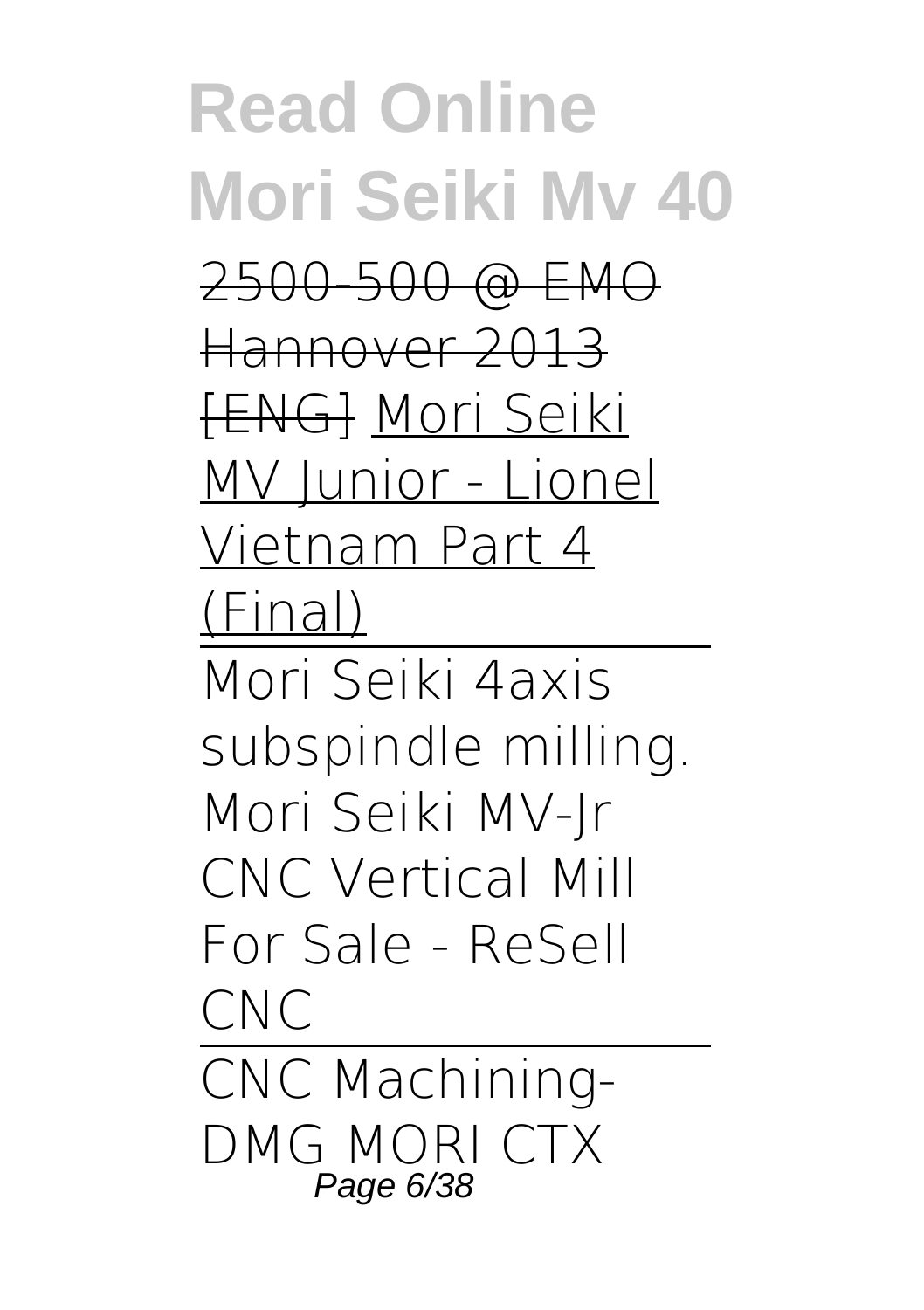**Read Online Mori Seiki Mv 40** 2500-500 @ EMO Hannover 2013 [ENG] Mori Seiki MV Junior - Lionel Vietnam Part 4 (Final) Mori Seiki 4axis subspindle milling. *Mori Seiki MV-Jr CNC Vertical Mill For Sale - ReSell CNC* CNC Machining-DMG MORI CTX Page 6/38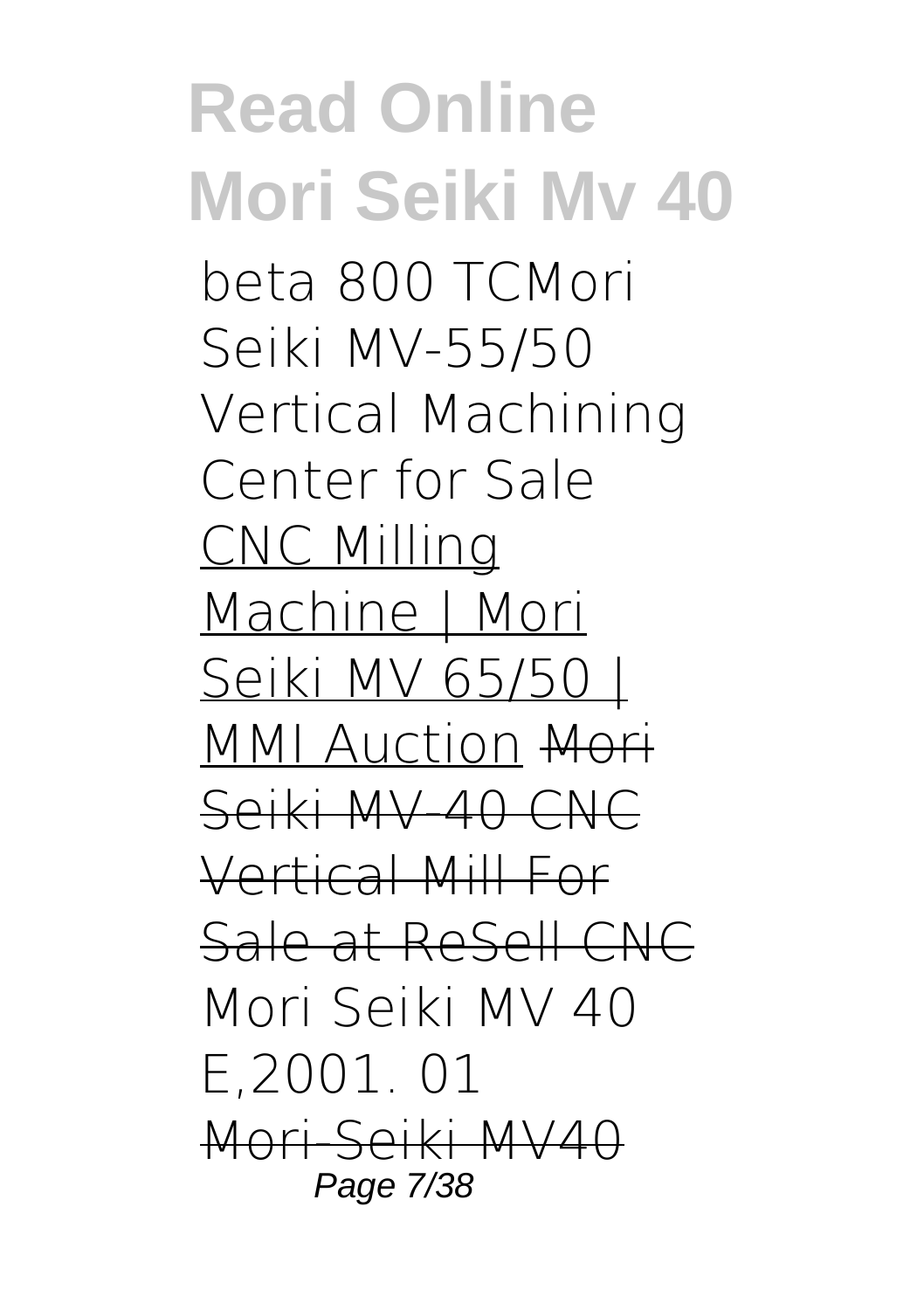#### **Read Online Mori Seiki Mv 40** beta 800 TC*Mori Seiki MV-55/50 Vertical Machining Center for Sale* CNC Milling Machine | Mori Seiki MV 65/50 | MMI Auction Mori Seiki MV-40 CNC Vertical Mill For Sale at ReSell CNC **Mori Seiki MV 40 E,2001. 01** Mori-Seiki MV40 Page 7/38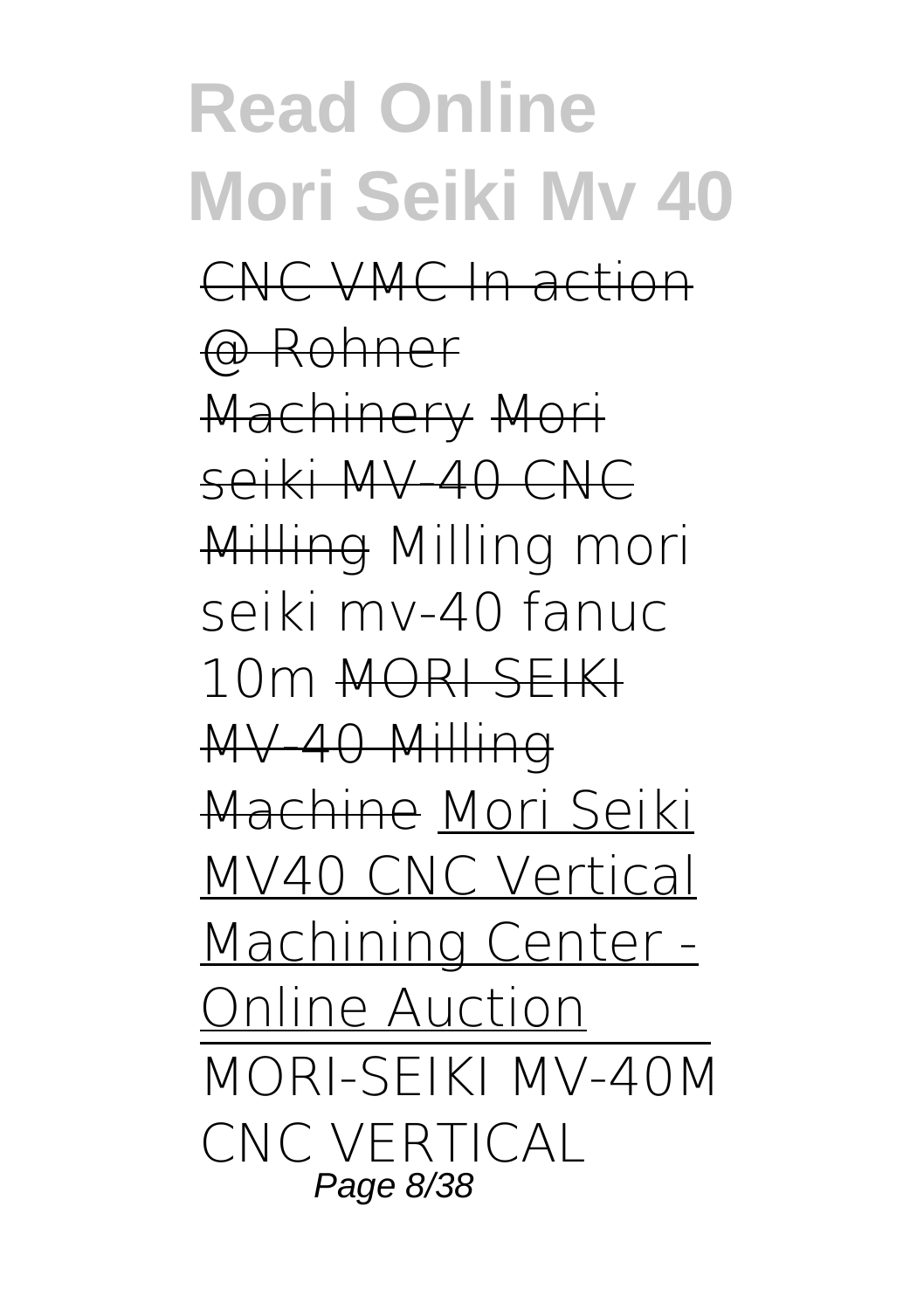**Read Online Mori Seiki Mv 40** CNC VMC In action @ Rohner Machinery Mori seiki MV-40 CNC Milling *Milling mori seiki mv-40 fanuc 10m* MORI SEIKI MV-40 Milling Machine Mori Seiki MV40 CNC Vertical Machining Center - Online Auction MORI-SEIKI MV-40M CNC VERTICAL Page 8/38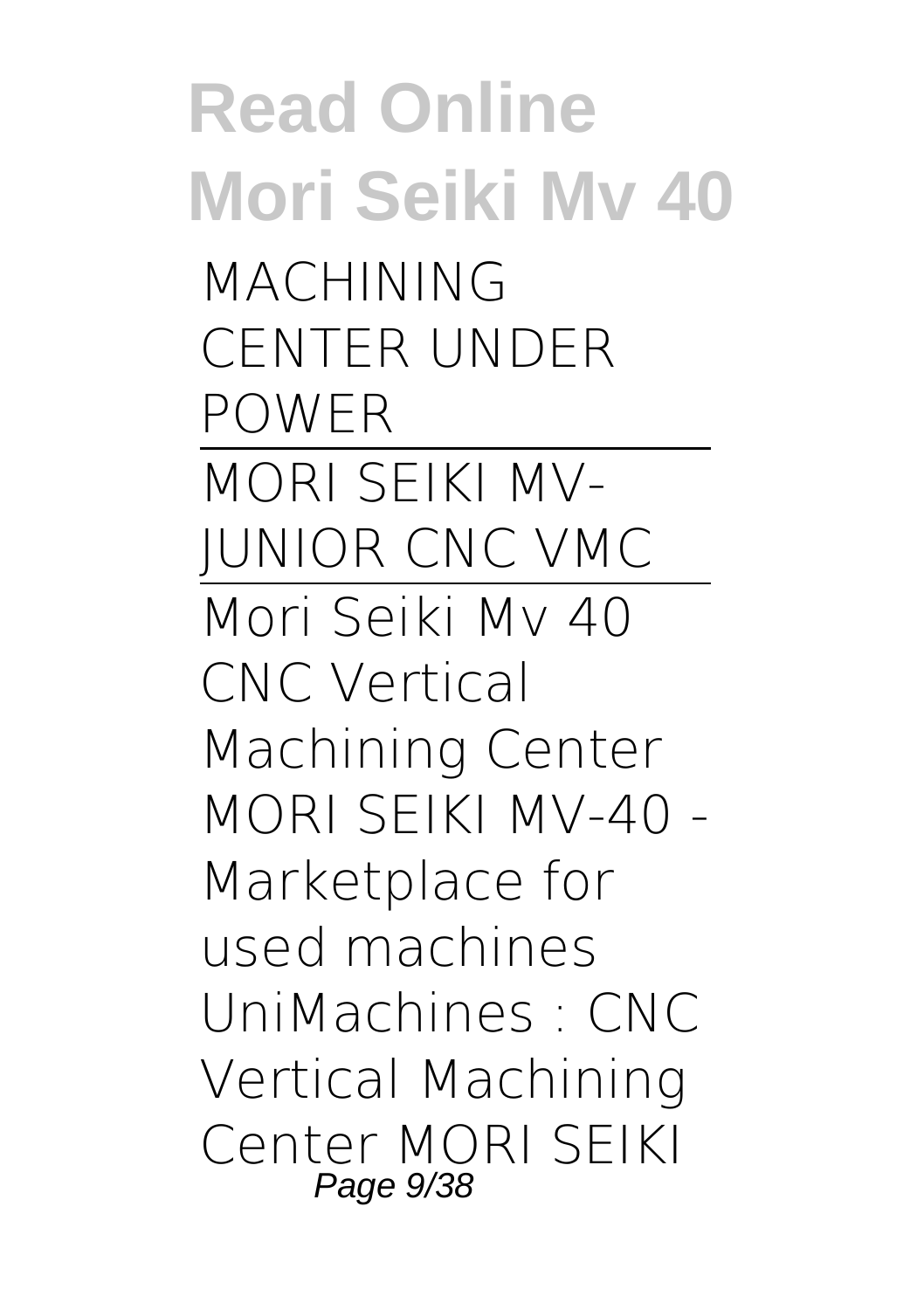**Read Online Mori Seiki Mv 40** MACHINING CENTER UNDER POWER MORI SEIKI MV-JUNIOR CNC VMC Mori Seiki Mv 40 CNC Vertical Machining Center MORI SEIKI MV-40 - Marketplace for used machines UniMachines : CNC Vertical Machining Center MORI SEIKI Page 9/38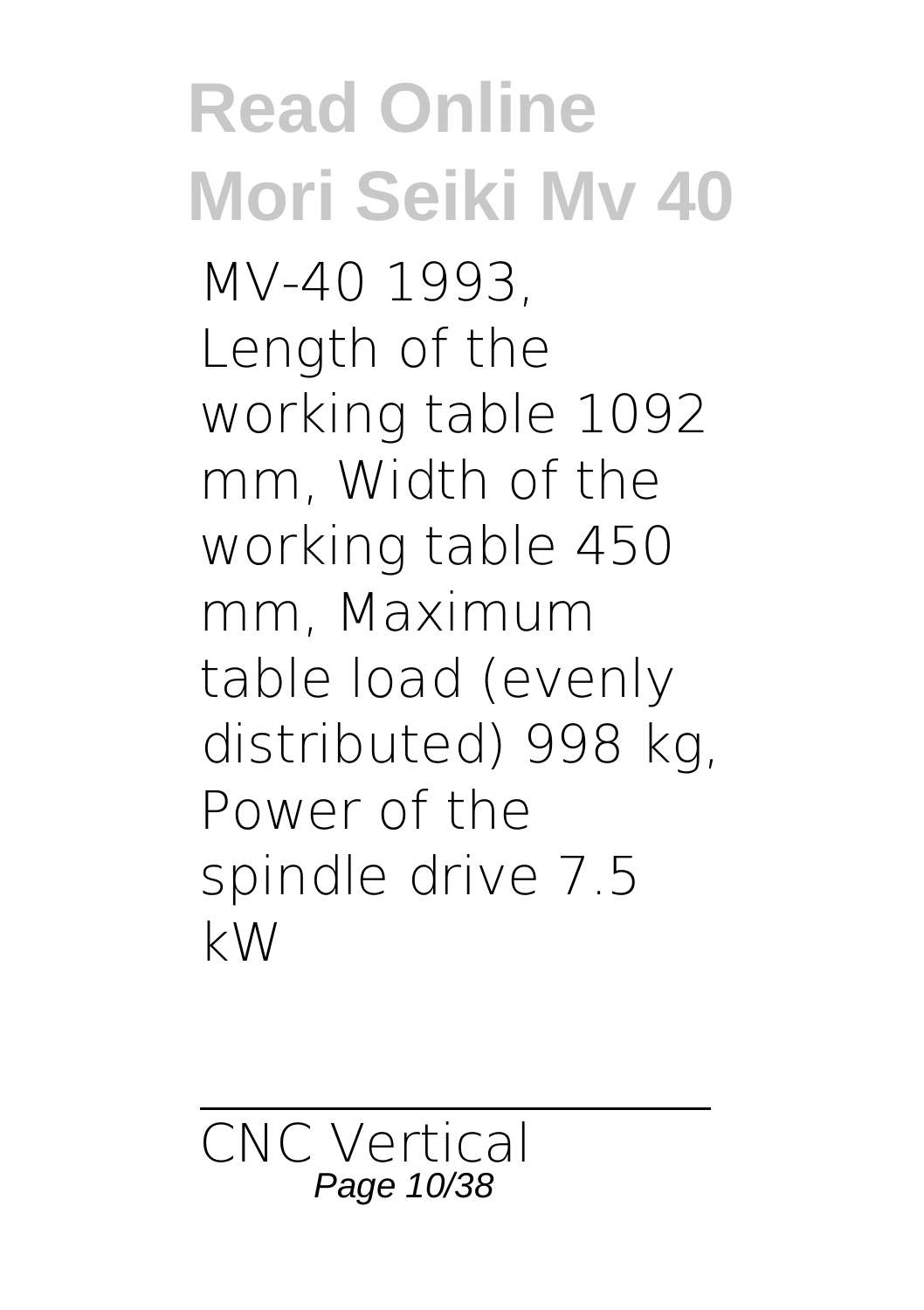### **Read Online Mori Seiki Mv 40** MV-40 1993, Length of the working table 1092 mm, Width of the working table 450 mm, Maximum table load (evenly distributed) 998 kg, Power of the spindle drive 7.5 kW

CNC Vertical Page 10/38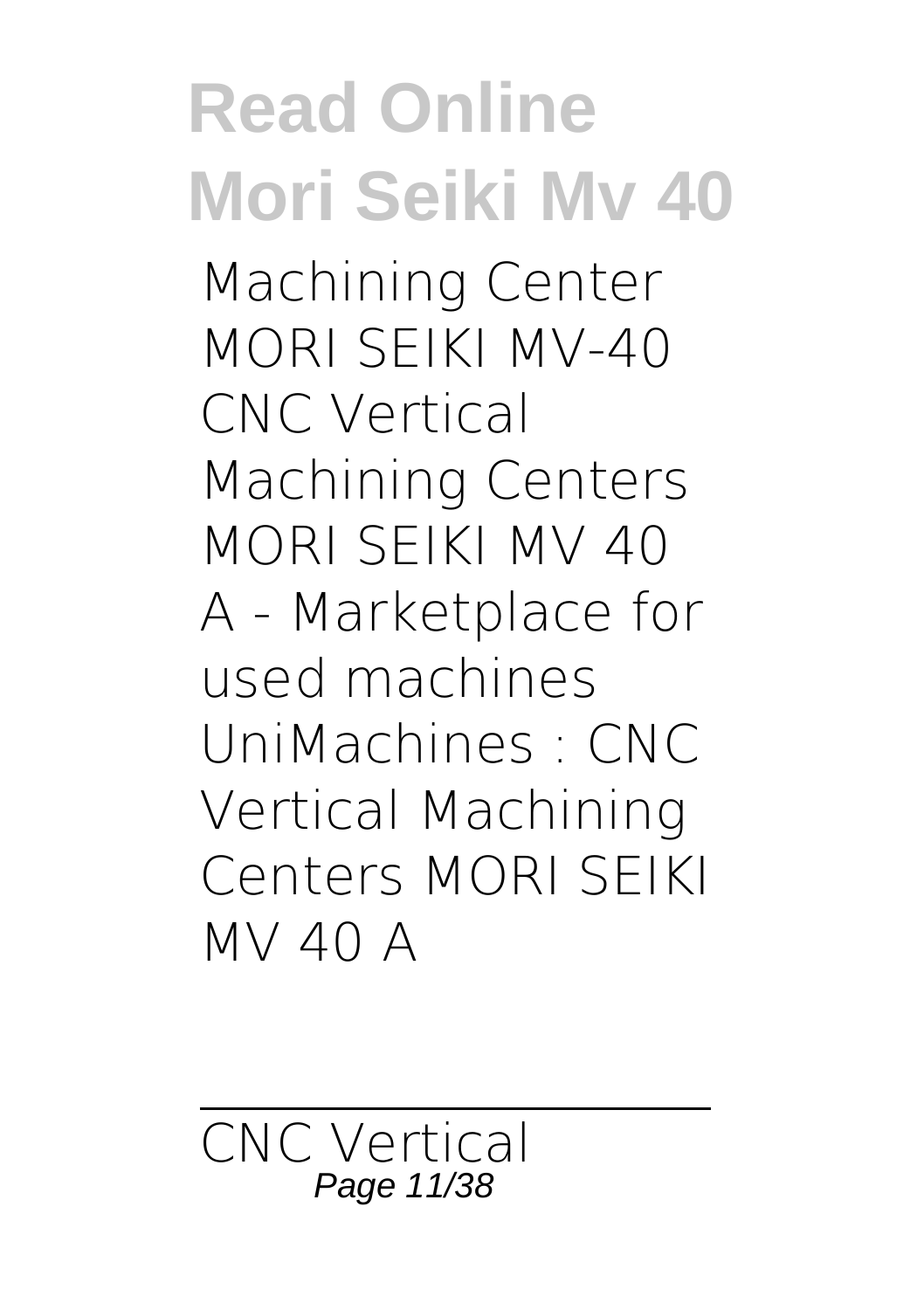### **Read Online Mori Seiki Mv 40** Machining Center MORI SEIKI MV-40 CNC Vertical Machining Centers MORI SEIKI MV 40 A - Marketplace for used machines UniMachines : CNC Vertical Machining Centers MORI SEIKI

CNC Vertical Page 11/38

MV 40 A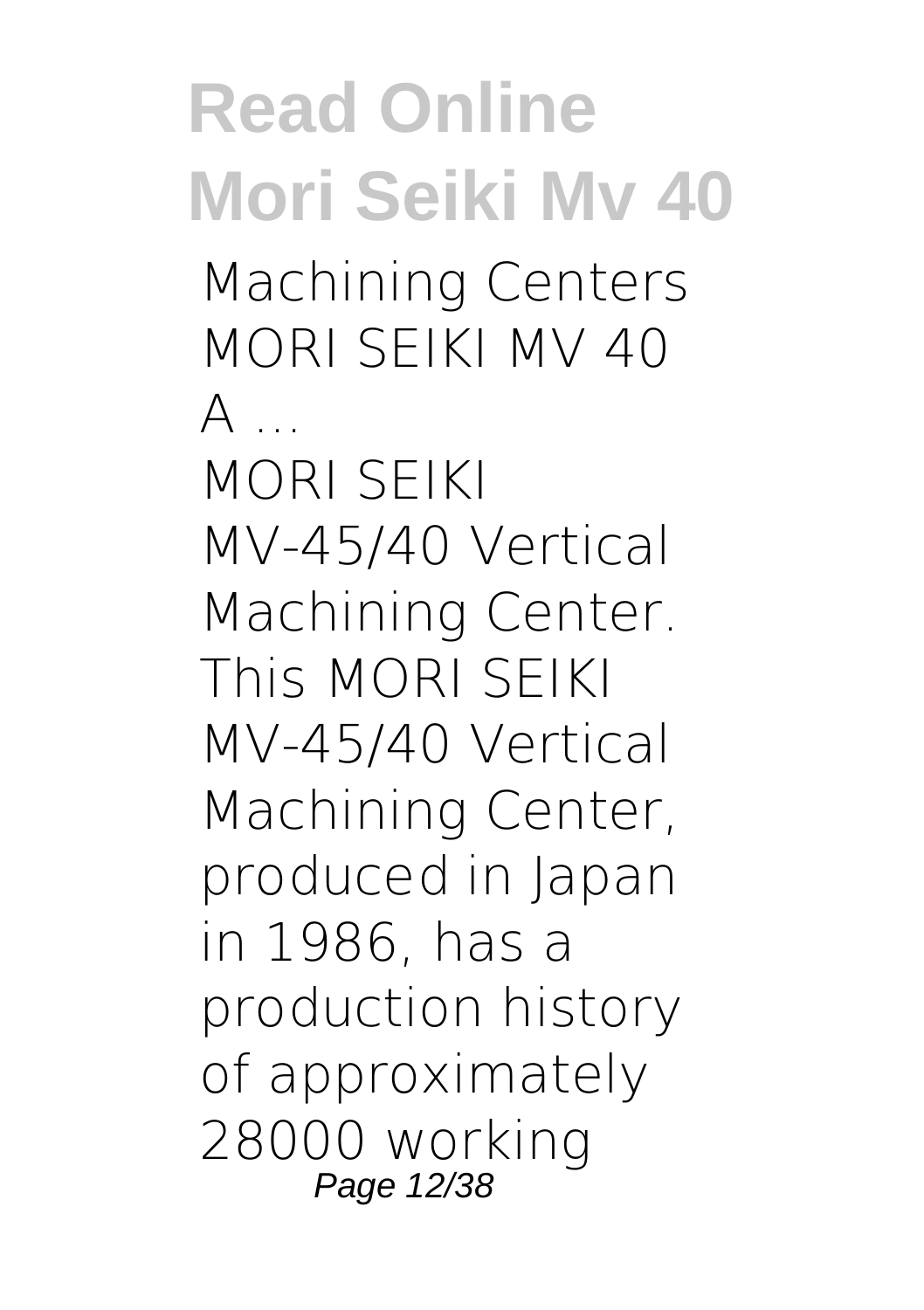**Read Online Mori Seiki Mv 40** Machining Centers MORI SEIKI MV 40  $\Delta$ MORI SEIKI MV-45/40 Vertical Machining Center. This MORI SEIKI MV-45/40 Vertical Machining Center, produced in Japan in 1986, has a production history of approximately 28000 working Page 12/38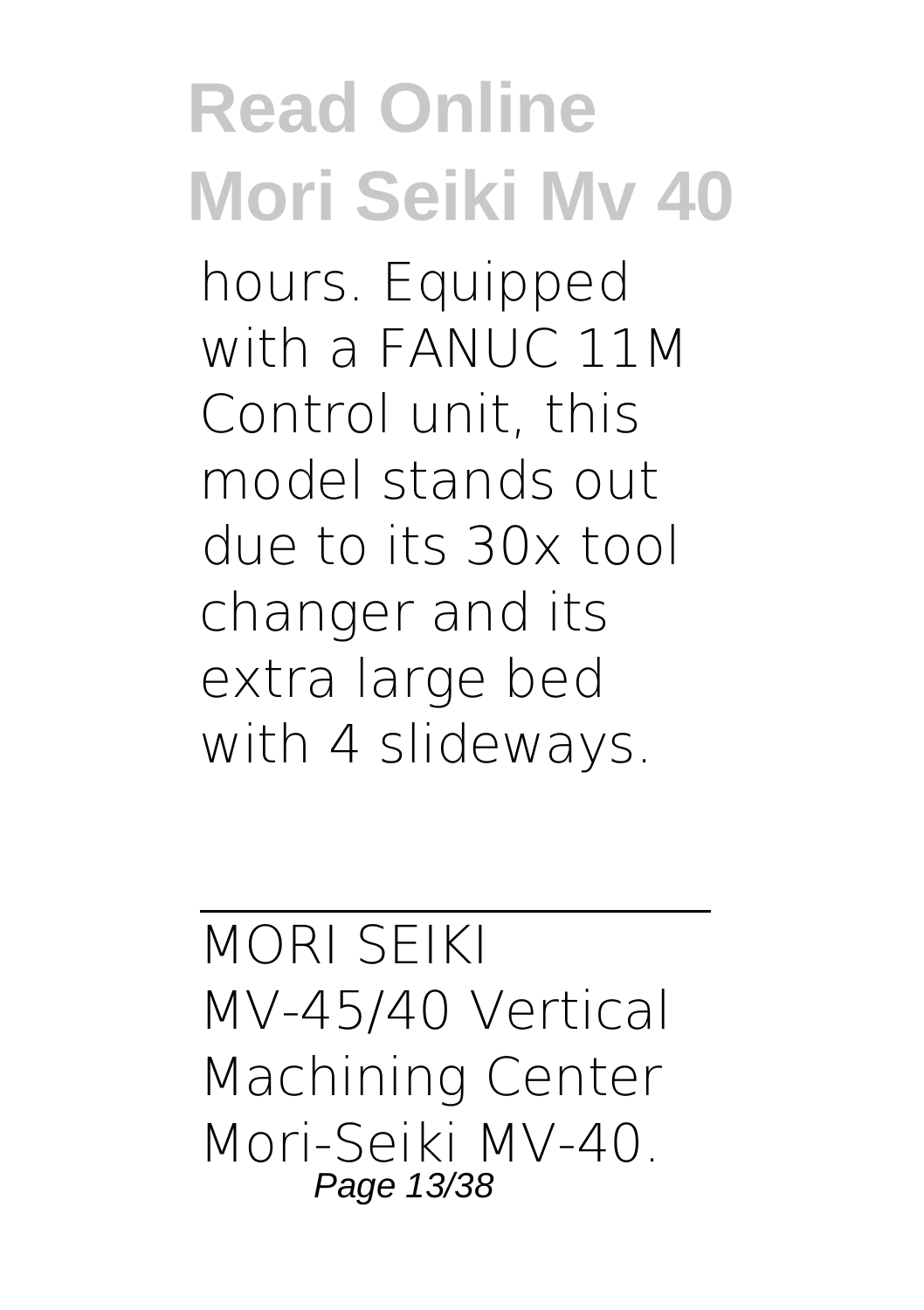hours. Equipped with a FANUC 11M Control unit, this model stands out due to its 30x tool changer and its extra large bed with 4 slideways.

MORI SEIKI MV-45/40 Vertical Machining Center Mori-Seiki MV-40. Page 13/38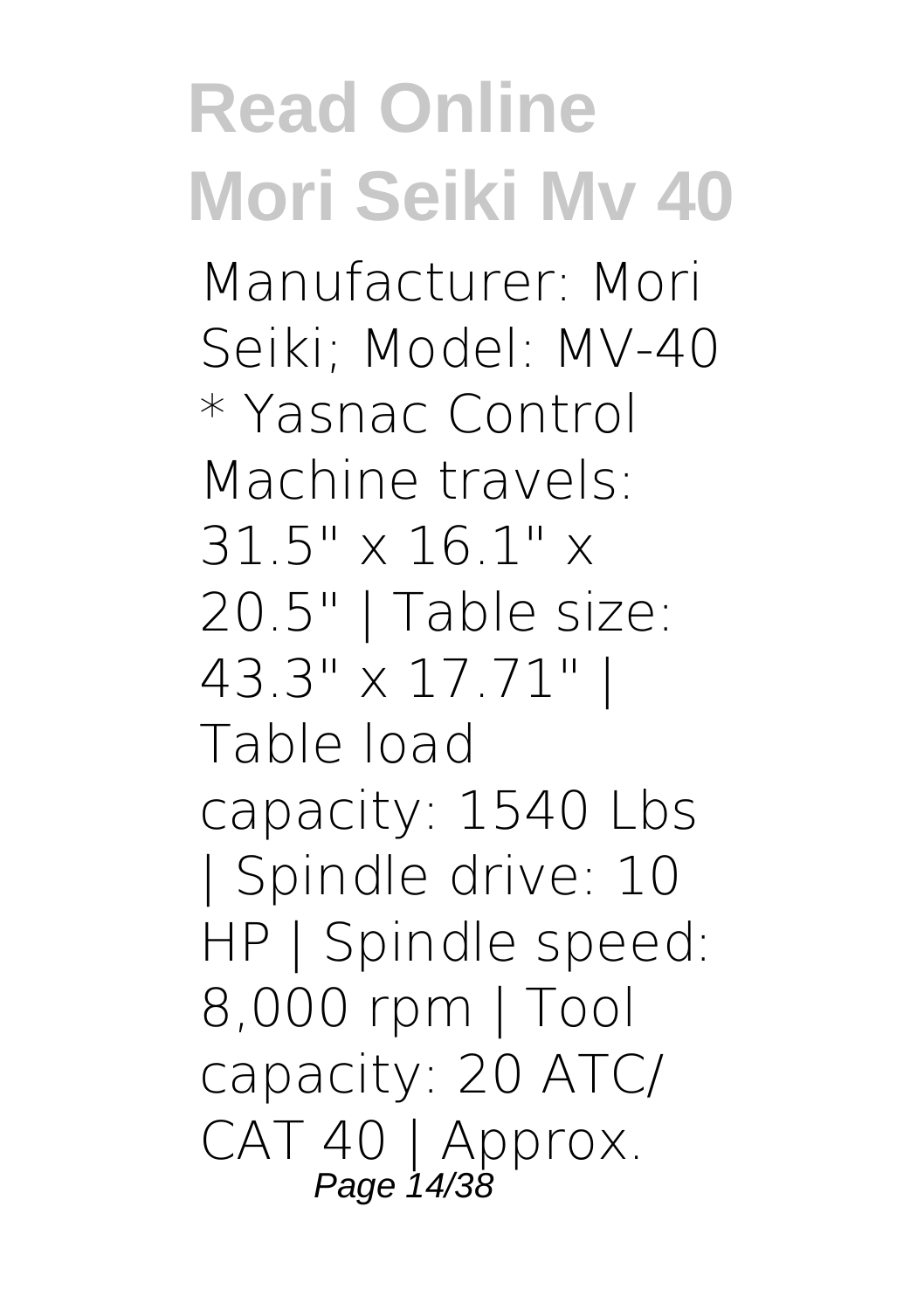Manufacturer: Mori Seiki; Model: MV-40 \* Yasnac Control Machine travels: 31.5" x 16.1" x 20.5" | Table size: 43.3" x 17.71" | Table load capacity: 1540 Lbs | Spindle drive: 10 HP | Spindle speed: 8,000 rpm | Tool capacity: 20 ATC/ CAT 40 | Approx. Page 14/38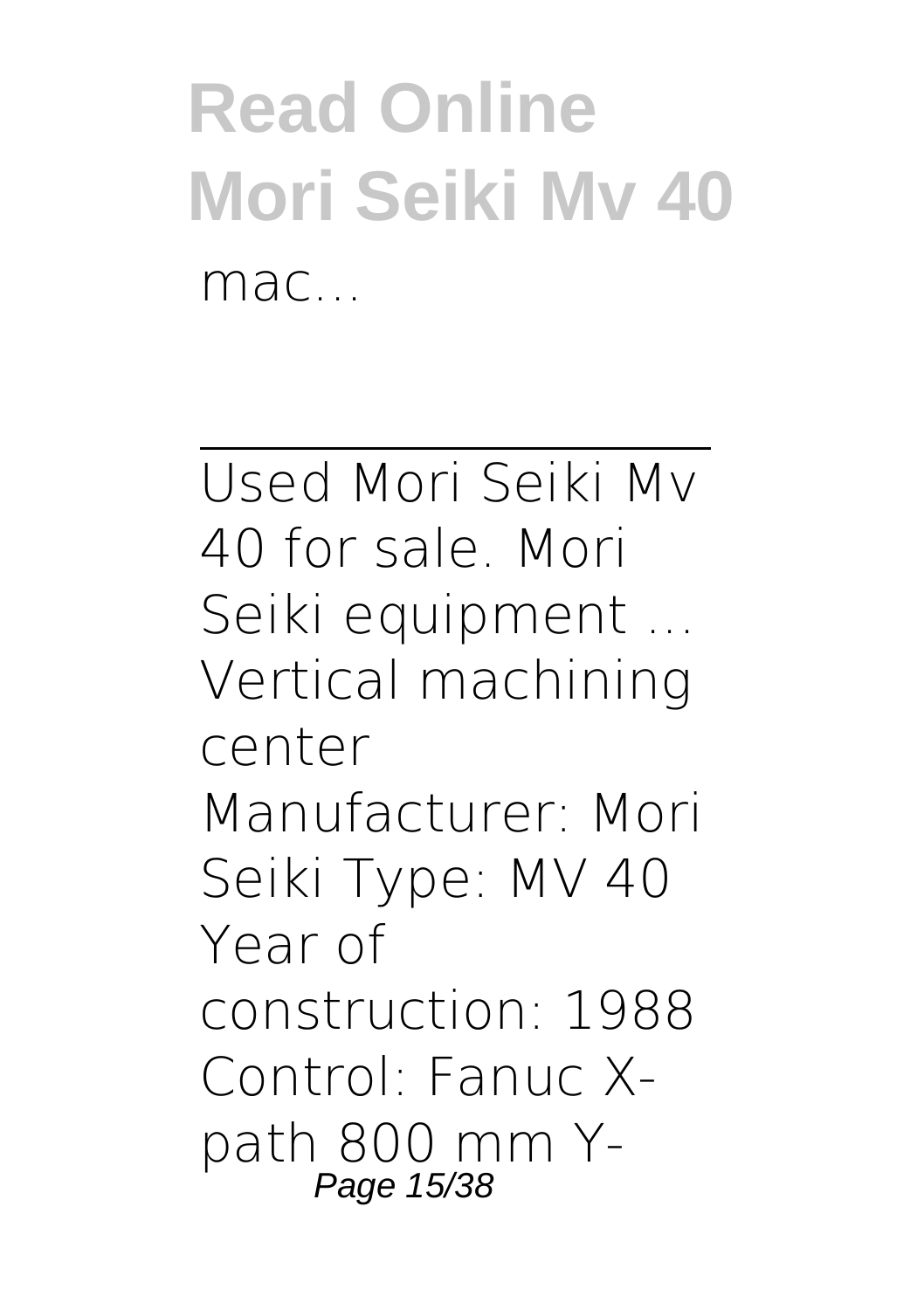**Read Online Mori Seiki Mv 40** mac<sub>.</sub>

Used Mori Seiki Mv 40 for sale. Mori Seiki equipment ... Vertical machining center Manufacturer: Mori Seiki Type: MV 40 Year of construction: 1988 Control: Fanuc Xpath 800 mm Y-Page 15/38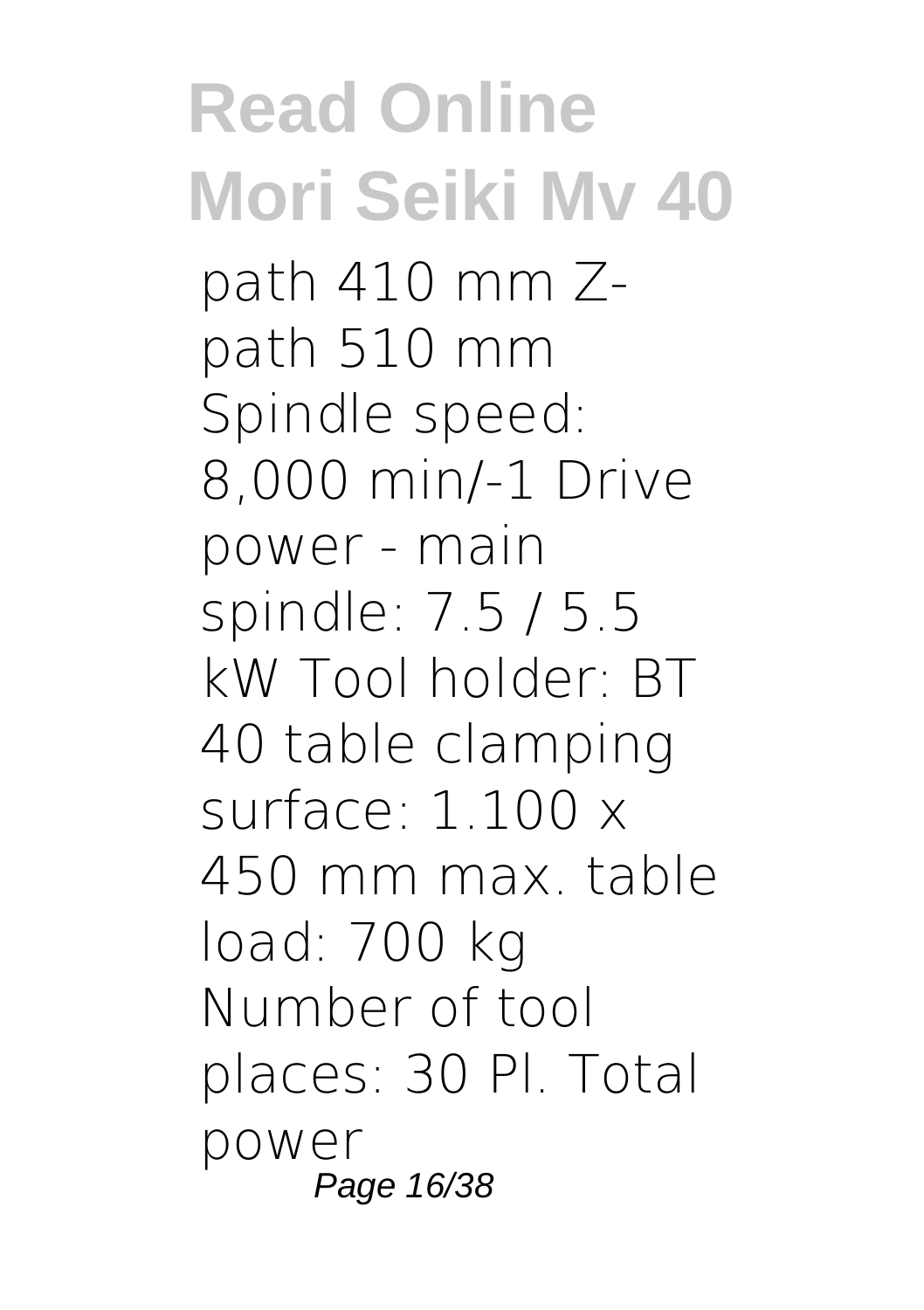**Read Online Mori Seiki Mv 40** path 410 mm Zpath 510 mm Spindle speed: 8,000 min/-1 Drive power - main spindle: 7.5 / 5.5 kW Tool holder: BT 40 table clamping surface:  $1.100 \times$ 450 mm max. table load: 700 kg Number of tool places: 30 Pl. Total power Page 16/38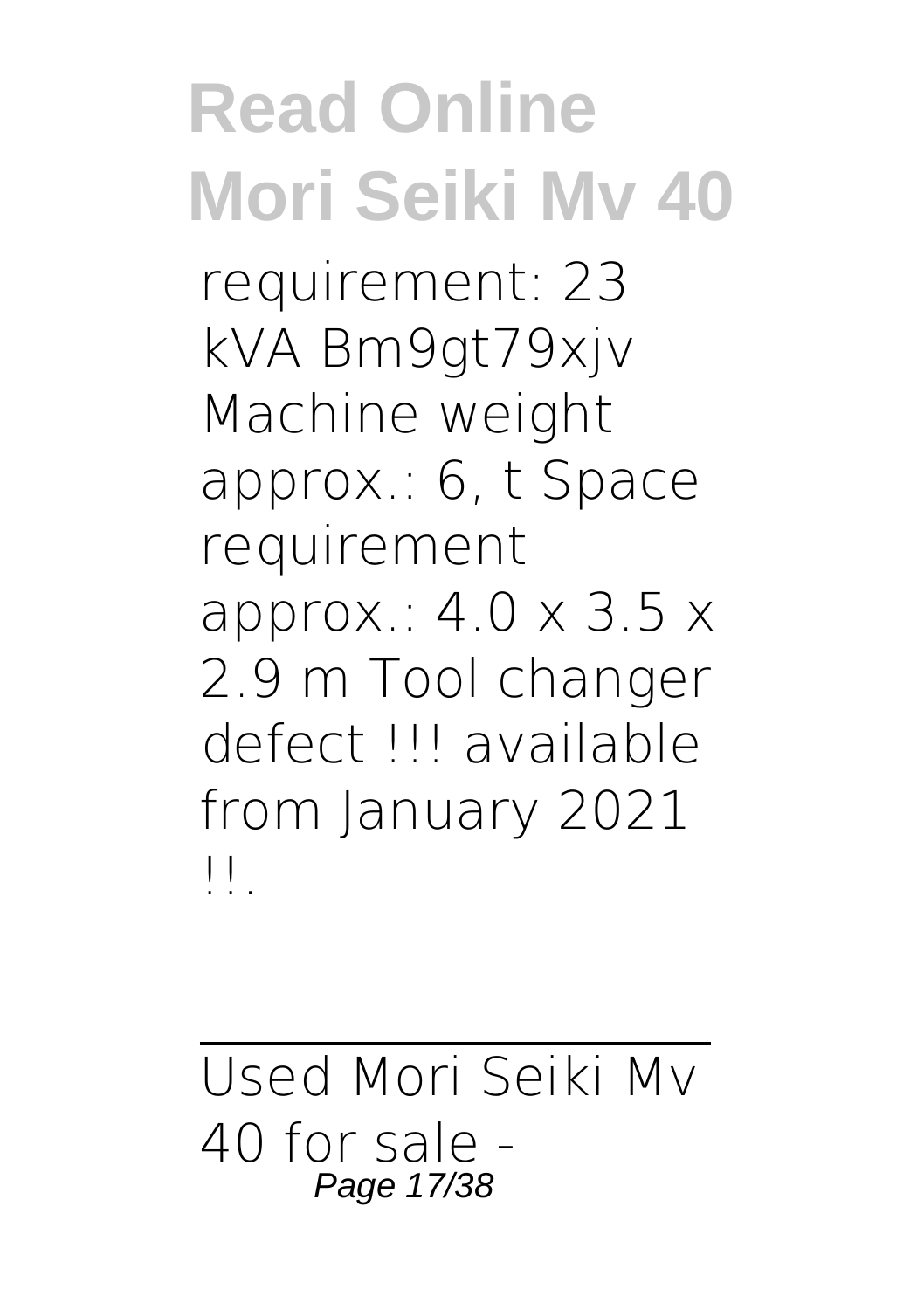requirement: 23 kVA Bm9gt79xjv Machine weight approx.: 6, t Space requirement approx.:  $4.0 \times 3.5 \times$ 2.9 m Tool changer defect !!! available from January 2021 !!.

Used Mori Seiki Mv 40 for sale - Page 17/38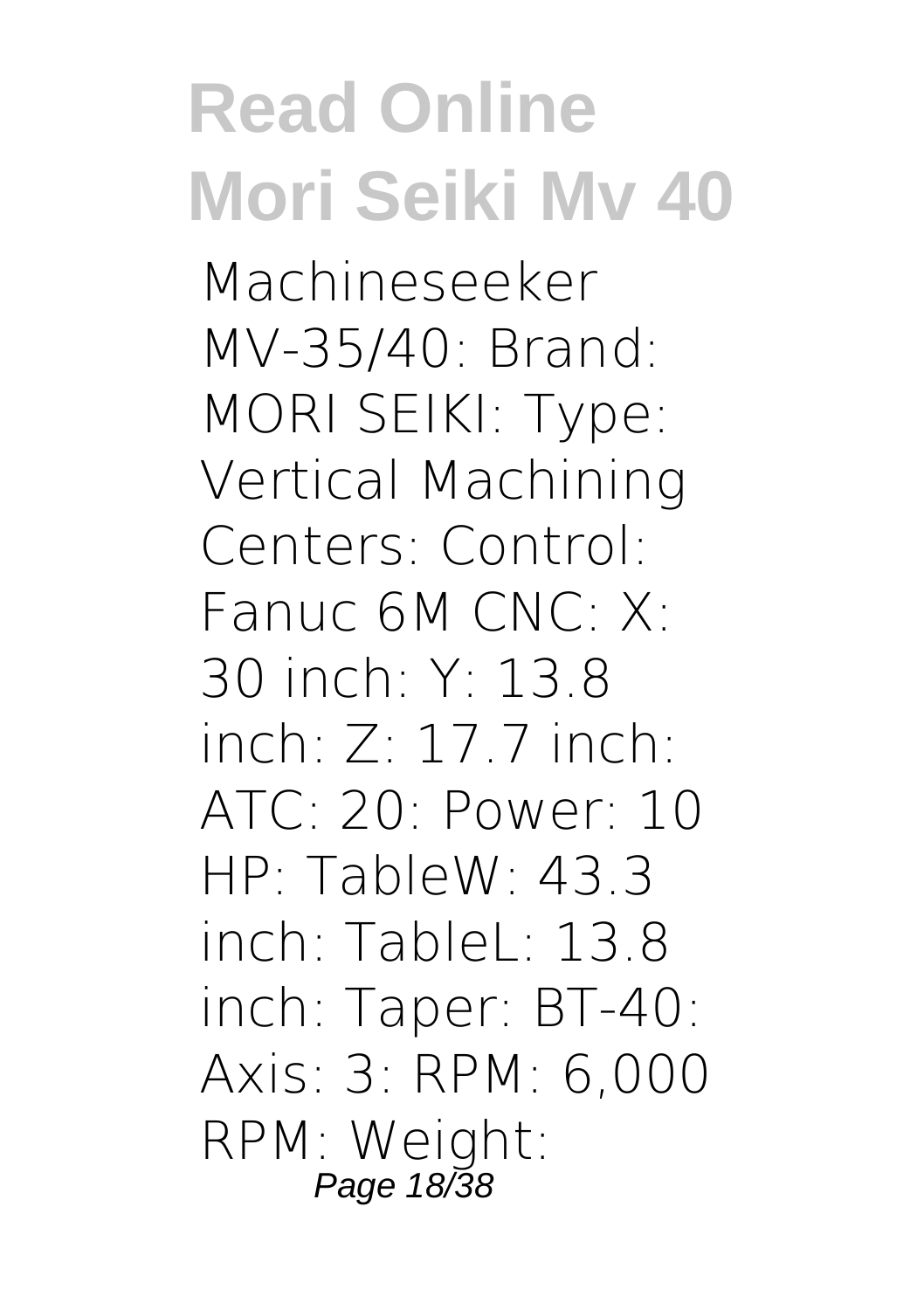Machineseeker MV-35/40: Brand: MORI SEIKI: Type: Vertical Machining Centers: Control: Fanuc 6M CNC: X: 30 inch: Y: 13.8 inch:  $Z: 17.7$  inch: ATC: 20: Power: 10 HP: TableW: 43.3  $inch:$  TableL: 13.8 inch: Taper: BT-40: Axis: 3: RPM: 6,000 RPM: Weight: Page 18/38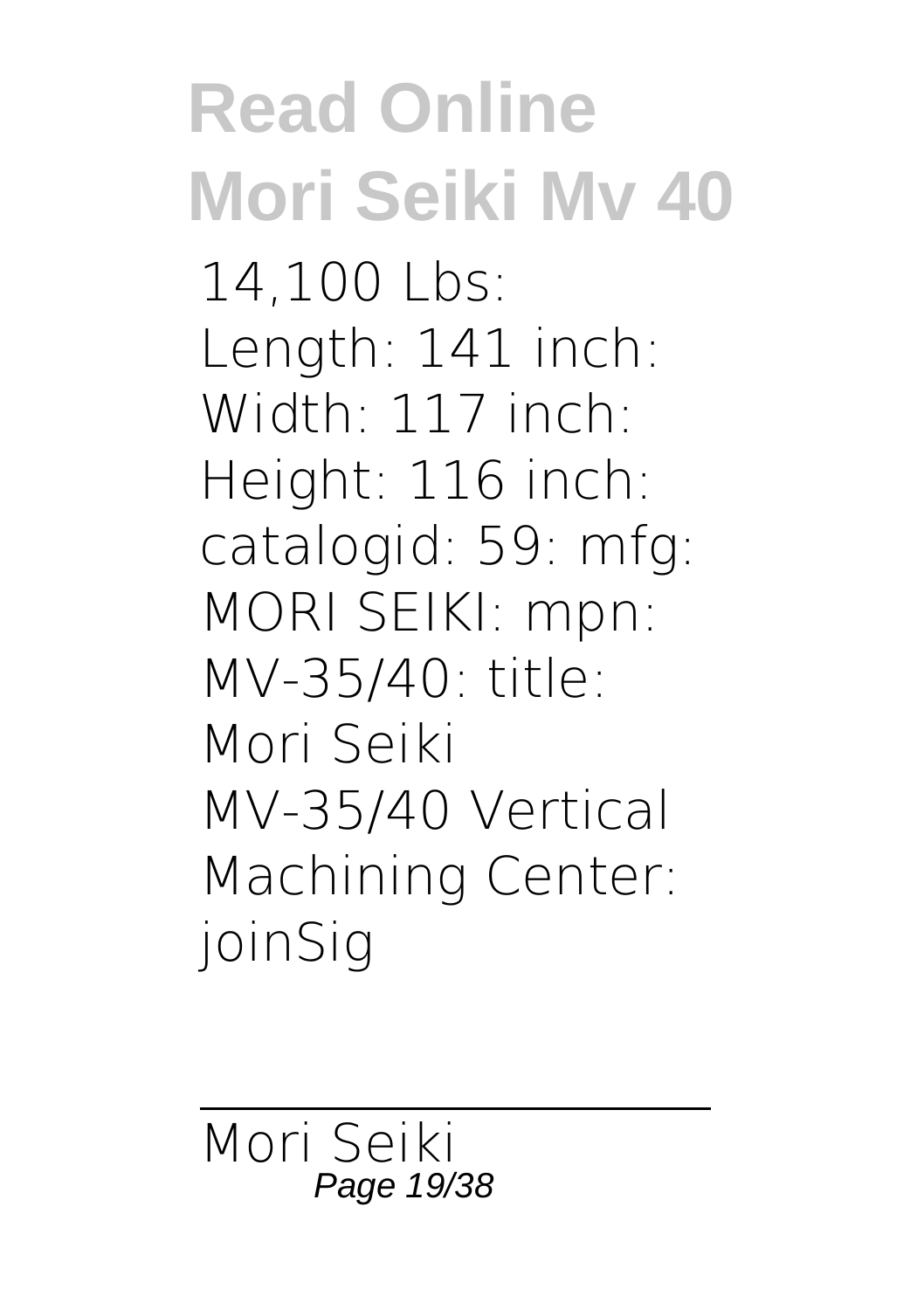### **Read Online Mori Seiki Mv 40** 14,100 Lbs: Length: 141 inch: Width: 117 inch: Height: 116 inch: catalogid: 59: mfg: MORI SEIKI: mpn: MV-35/40: title: Mori Seiki MV-35/40 Vertical Machining Center: joinSig

Mori Seiki Page 19/38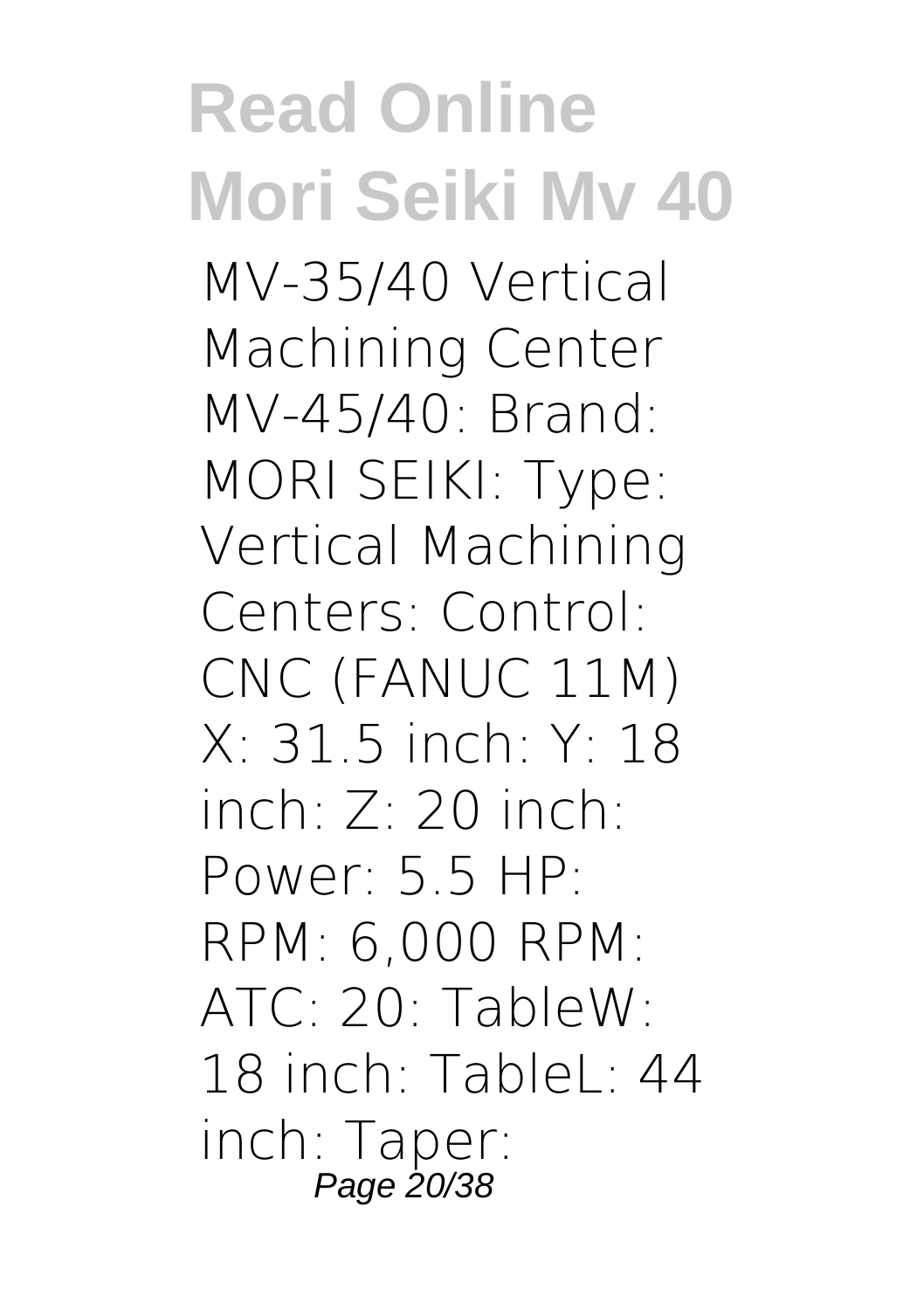**Read Online Mori Seiki Mv 40** MV-35/40 Vertical Machining Center MV-45/40: Brand: MORI SEIKI: Type: Vertical Machining Centers: Control: CNC (FANUC 11M) X: 31.5 inch: Y: 18 inch:  $7 \cdot 20$  inch: Power:  $5.5$  HP: RPM: 6,000 RPM: ATC: 20: TableW: 18 inch: TableL:  $44$ inch: Taper: Page 20/38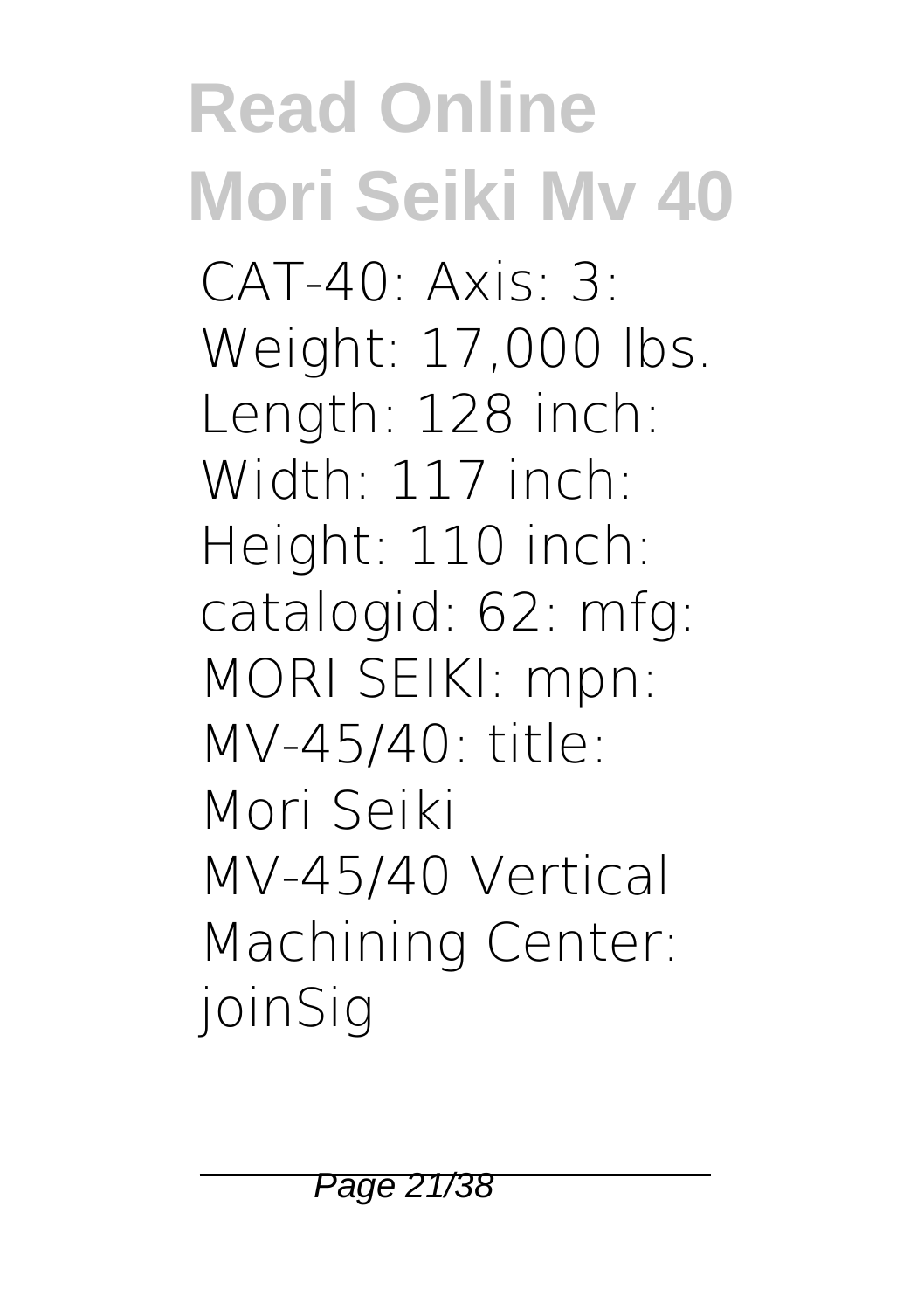### **Read Online Mori Seiki Mv 40**  $CAT-40$   $Axis. 3$ Weight: 17,000 lbs. Length: 128 inch: Width: 117 inch: Height: 110 inch: catalogid: 62: mfg: MORI SEIKI: mpn: MV-45/40: title: Mori Seiki MV-45/40 Vertical Machining Center: joinSig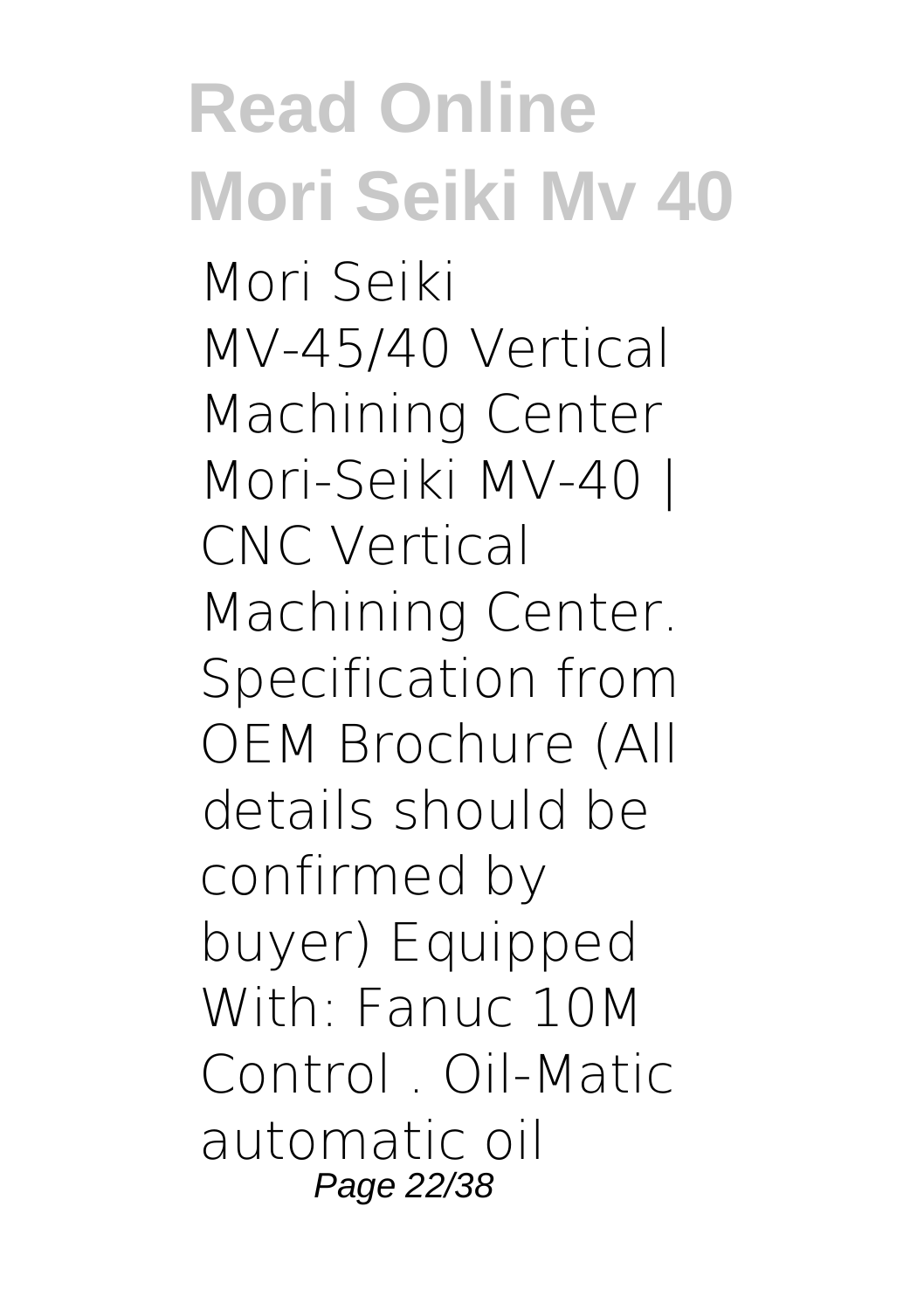Mori Seiki MV-45/40 Vertical Machining Center Mori-Seiki MV-40 | CNC Vertical Machining Center. Specification from OEM Brochure (All details should be confirmed by buyer) Equipped With: Fanuc 10M Control Oil-Matic automatic oil Page 22/38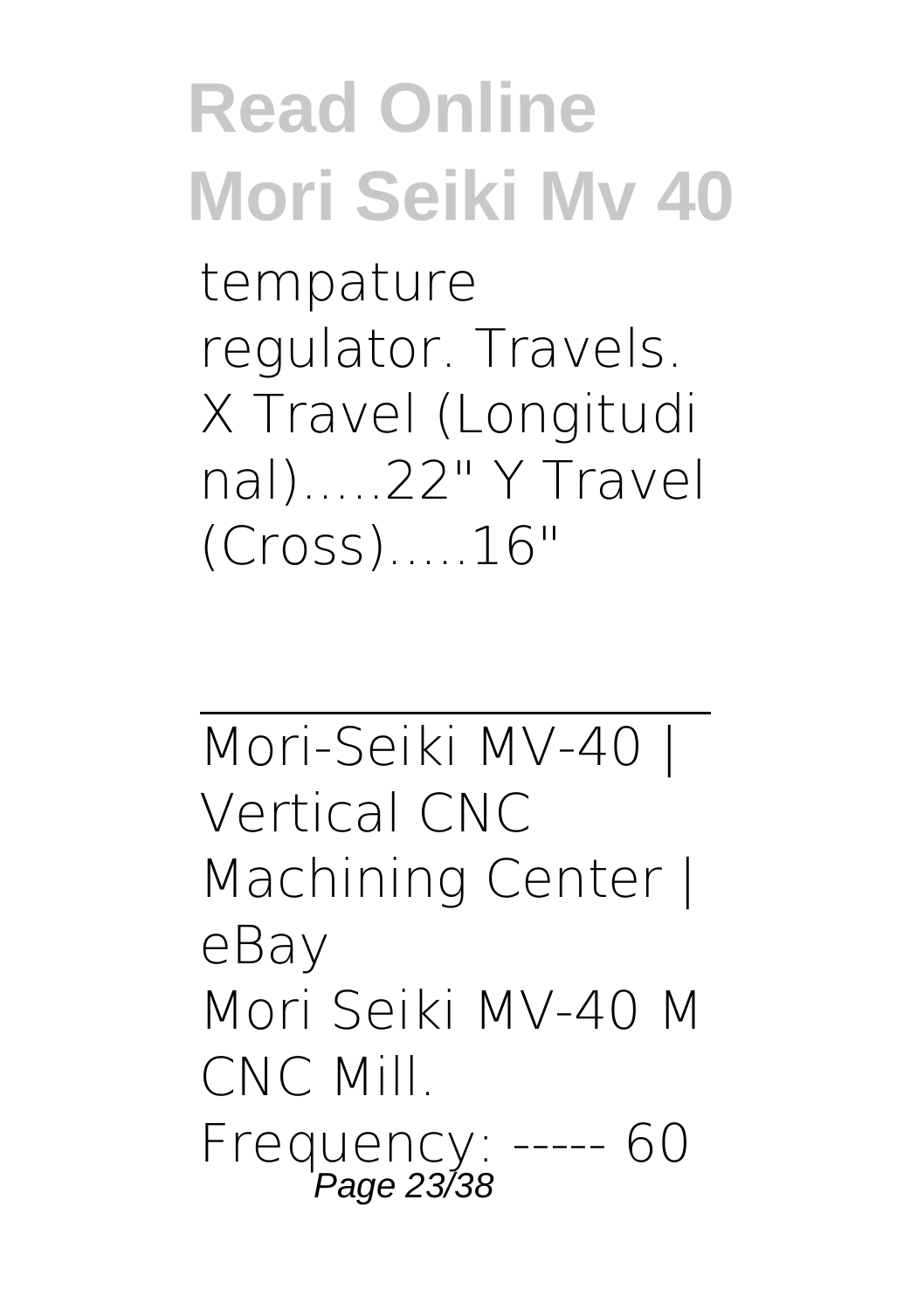tempature regulator. Travels. X Travel (Longitudi nal).....22" Y Travel (Cross).....16"

Mori-Seiki MV-40 | Vertical CNC Machining Center | eBay Mori Seiki MV-40 M CNC Mill. Frequency: ----- 60 Page 23/38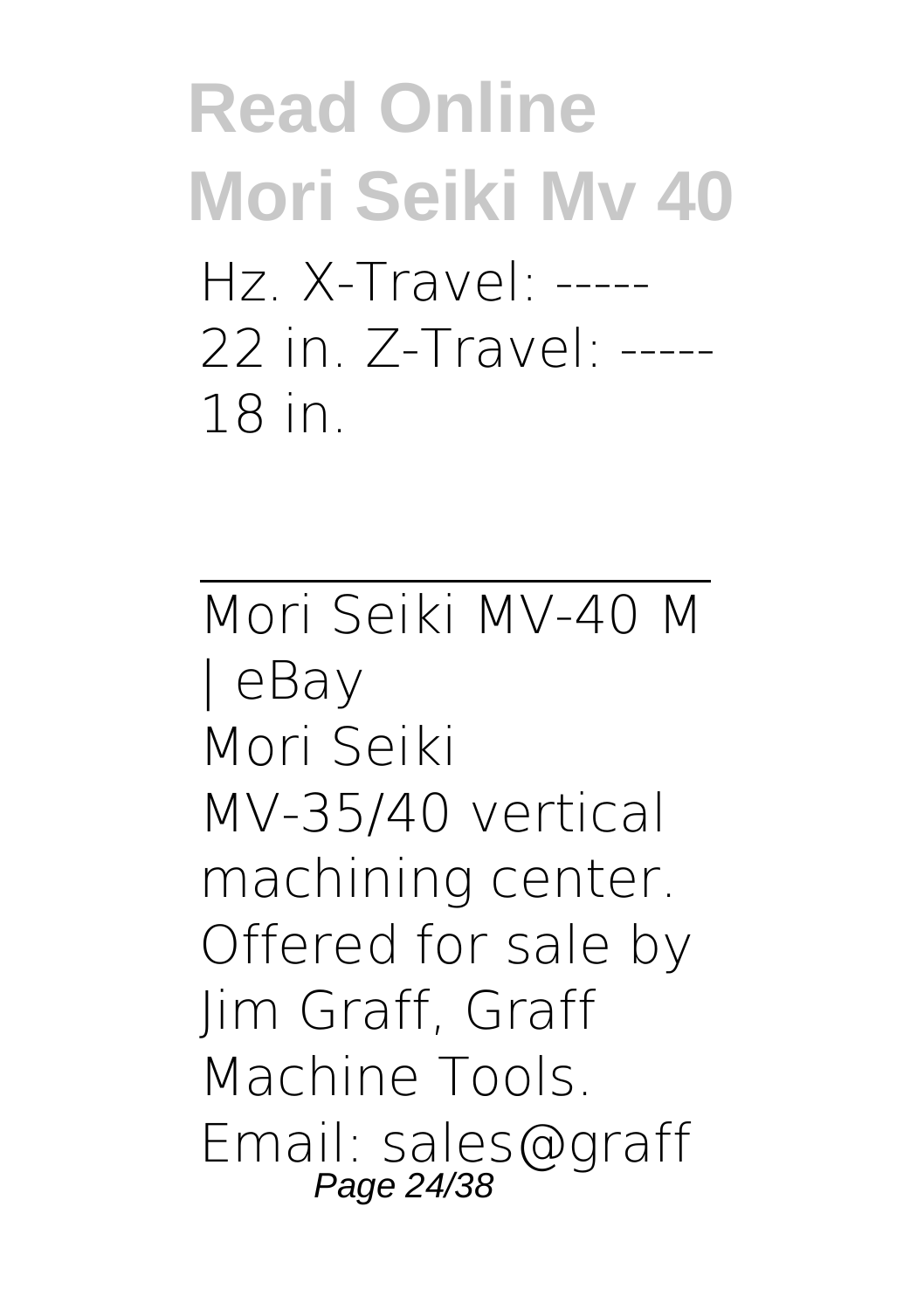### **Read Online Mori Seiki Mv 40** Hz. X-Travel: ----- 22 in. Z-Travel: ----- 18 in.

Mori Seiki MV-40 M | eBay Mori Seiki MV-35/40 vertical machining center. Offered for sale by Jim Graff, Graff Machine Tools. Email: sales@graff Page 24/38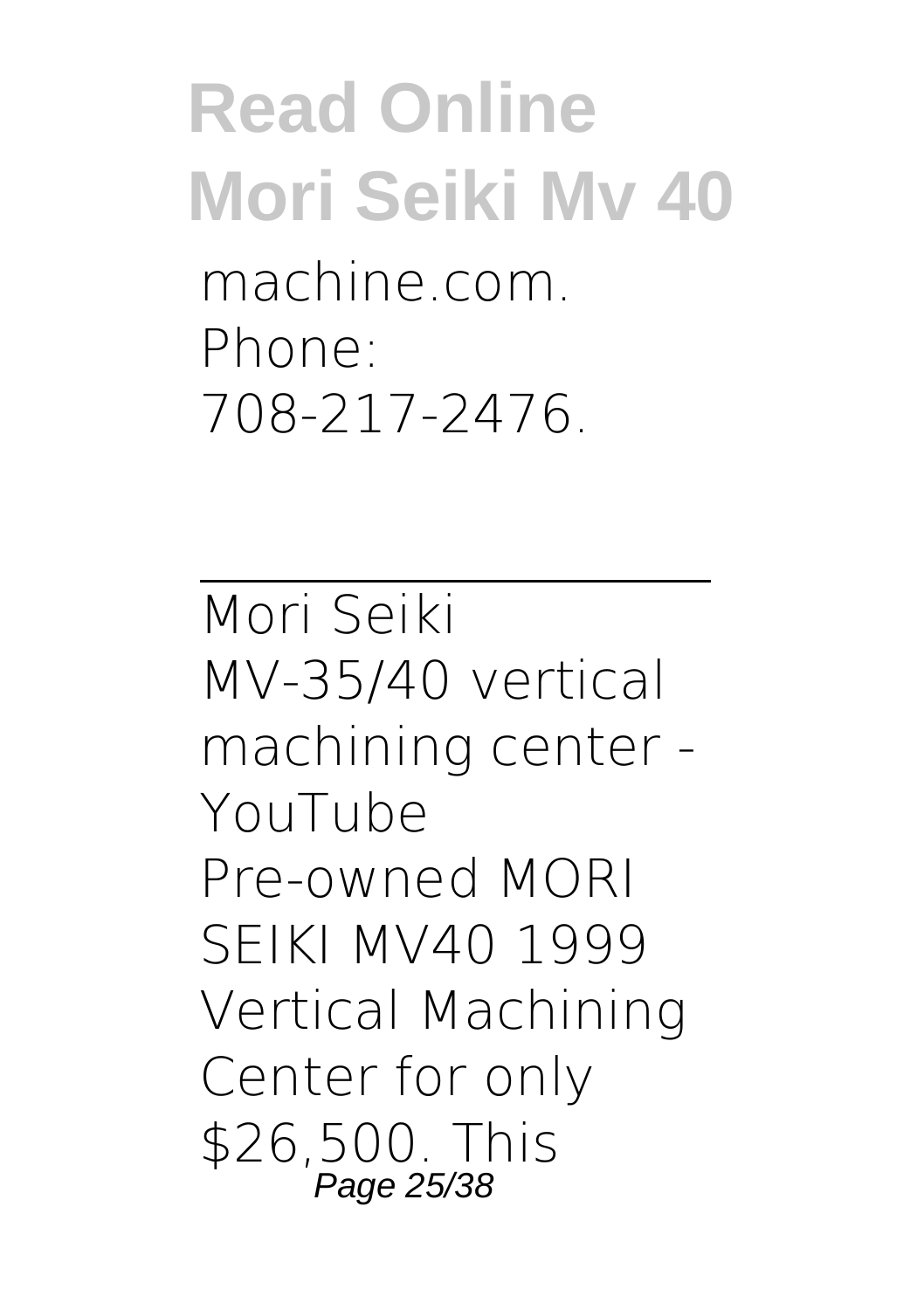### **Read Online Mori Seiki Mv 40** machine.com. Phone: 708-217-2476.

Mori Seiki MV-35/40 vertical machining center - YouTube Pre-owned MORI SEIKI MV40 1999 Vertical Machining Center for only \$26,500. This Page 25/38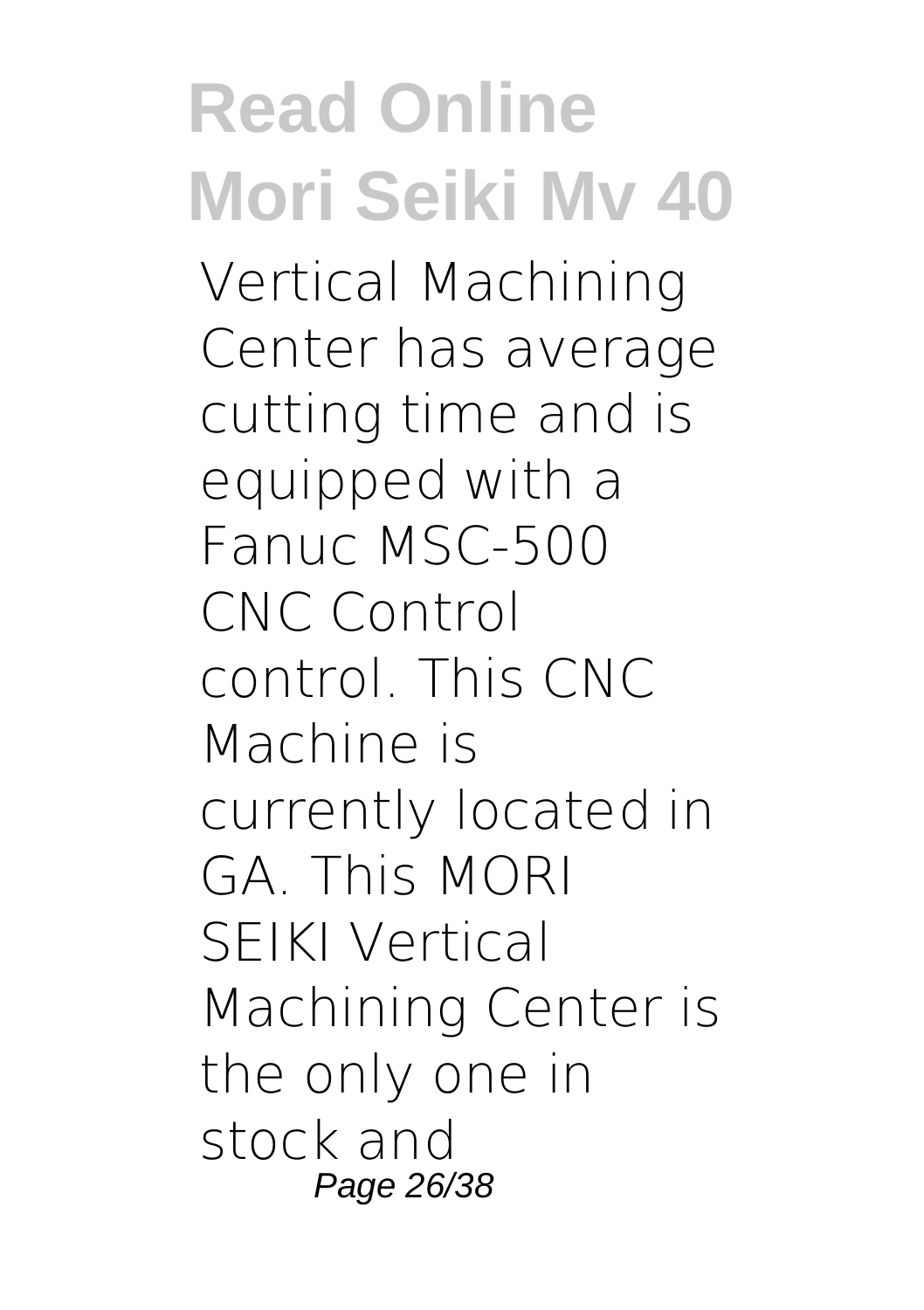**Read Online Mori Seiki Mv 40** Vertical Machining Center has average cutting time and is equipped with a Fanuc MSC-500 CNC Control control. This CNC Machine is currently located in GA. This MORI SEIKI Vertical Machining Center is the only one in stock and Page 26/38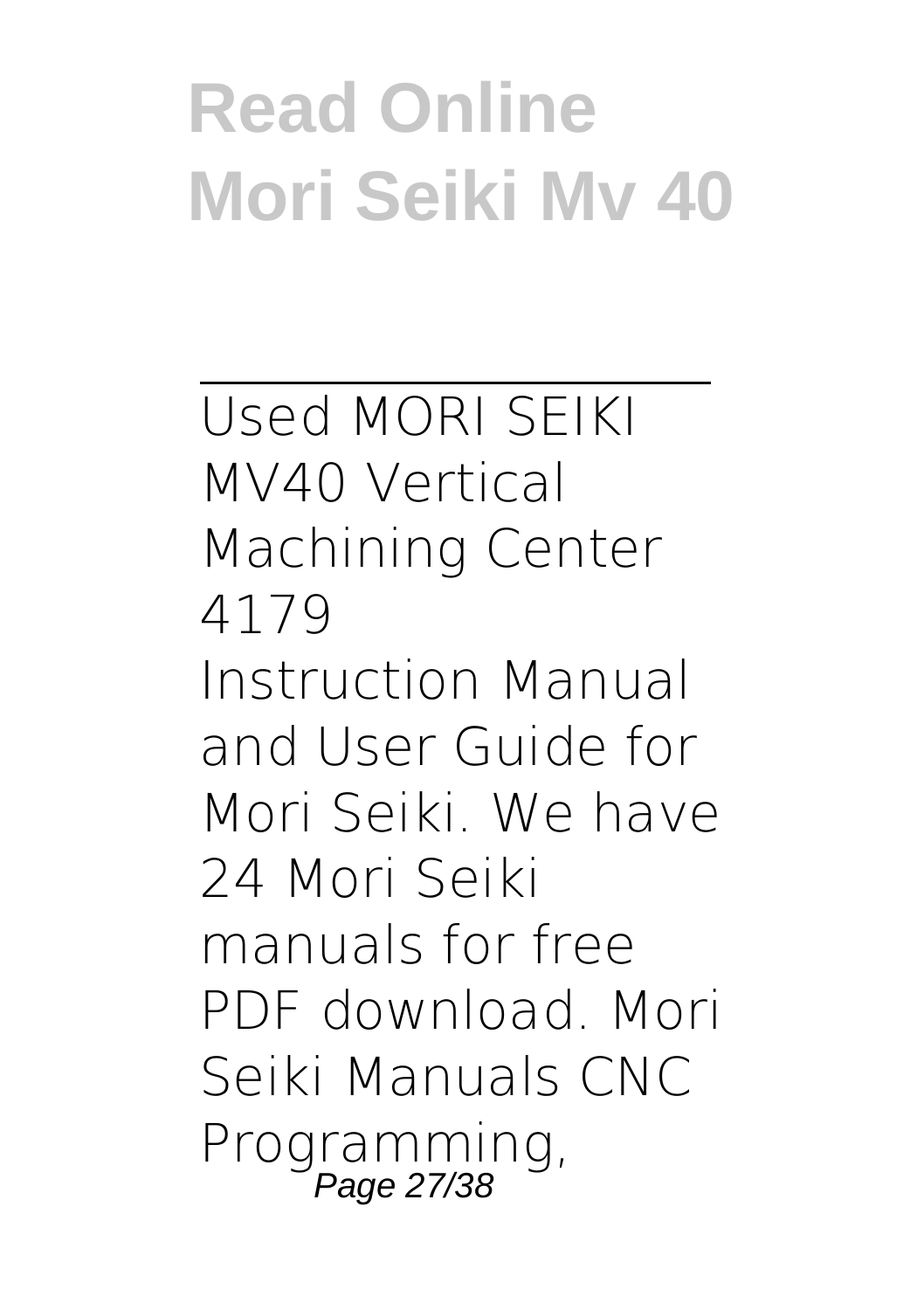Used MORI SEIKI MV40 Vertical Machining Center 4179 Instruction Manual and User Guide for Mori Seiki. We have 24 Mori Seiki manuals for free PDF download. Mori Seiki Manuals CNC Programming, Page 27/38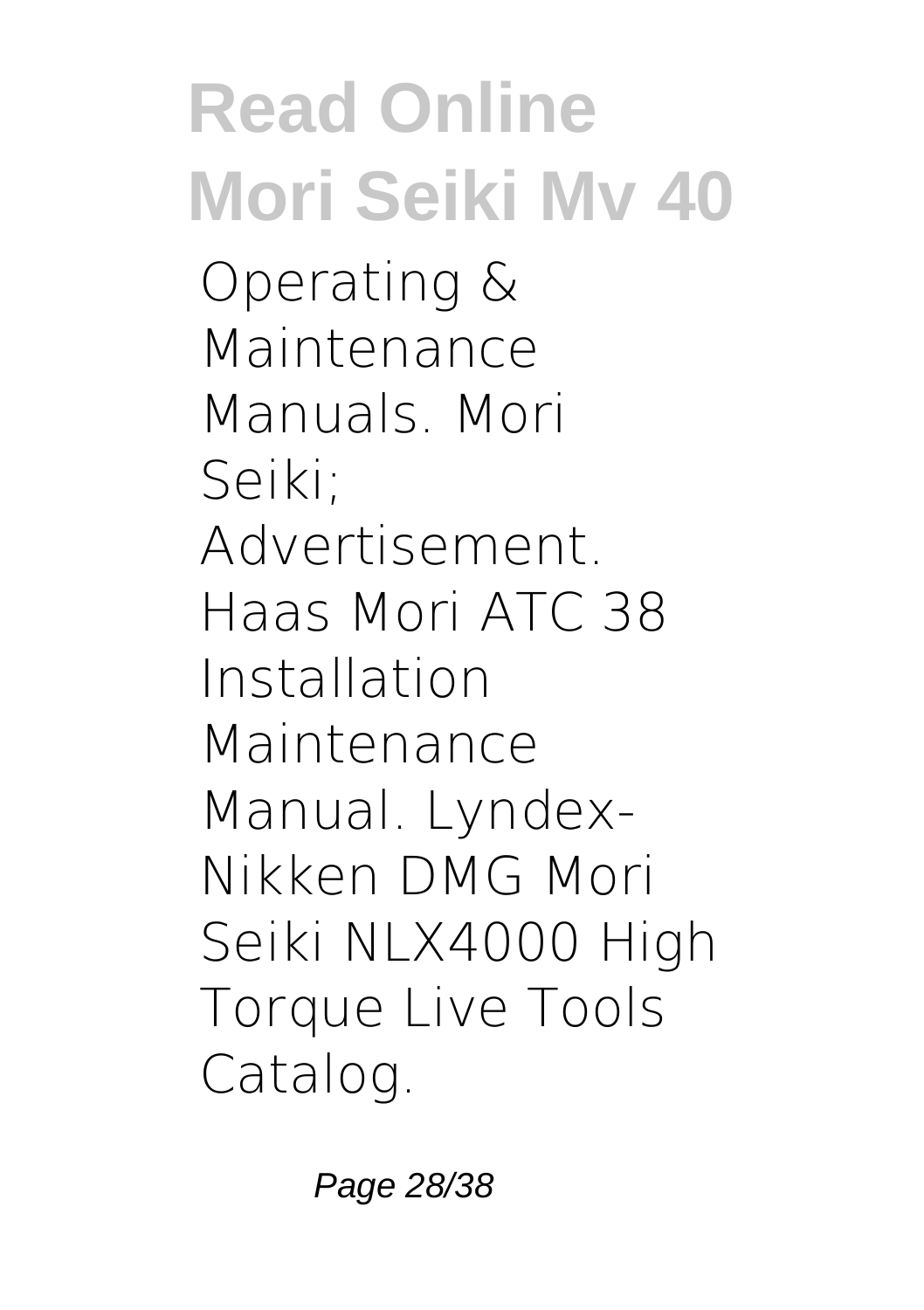Operating & Maintenance Manuals. Mori Seiki; Advertisement. Haas Mori ATC 38 Installation Maintenance Manual. Lyndex-Nikken DMG Mori Seiki NLX4000 High Torque Live Tools Catalog.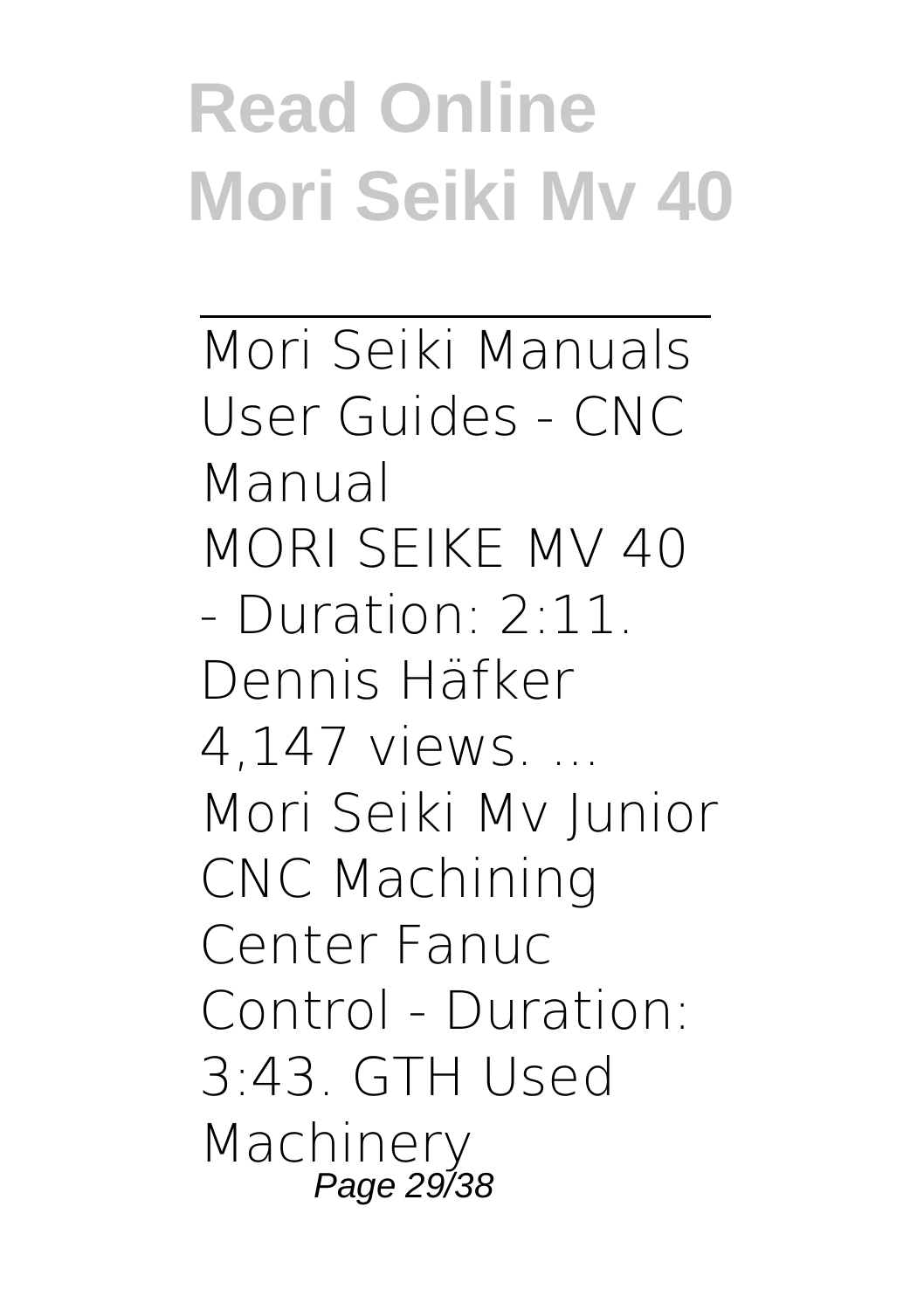Mori Seiki Manuals User Guides - CNC Manual MORI SEIKE MV 40 - Duration: 2:11. Dennis Häfker 4,147 views. ... Mori Seiki Mv Junior CNC Machining Center Fanuc Control - Duration: 3:43. GTH Used Machinery Page 29/38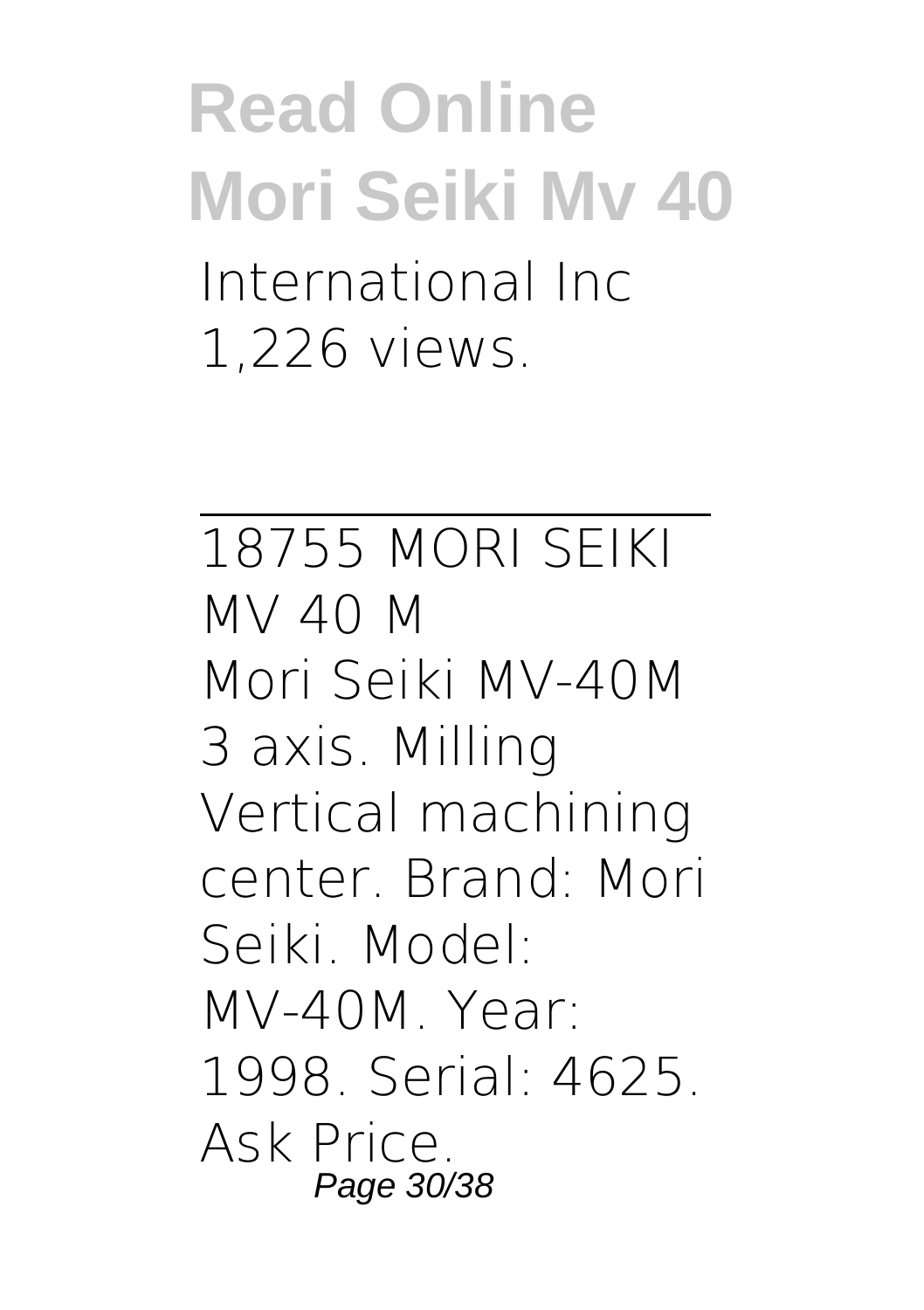### **Read Online Mori Seiki Mv 40** International Inc 1,226 views.

18755 MORI SEIKI MV 40 M Mori Seiki MV-40M 3 axis. Milling Vertical machining center. Brand: Mori Seiki. Model: MV-40M. Year: 1998. Serial: 4625. Ask Price. Page 30/38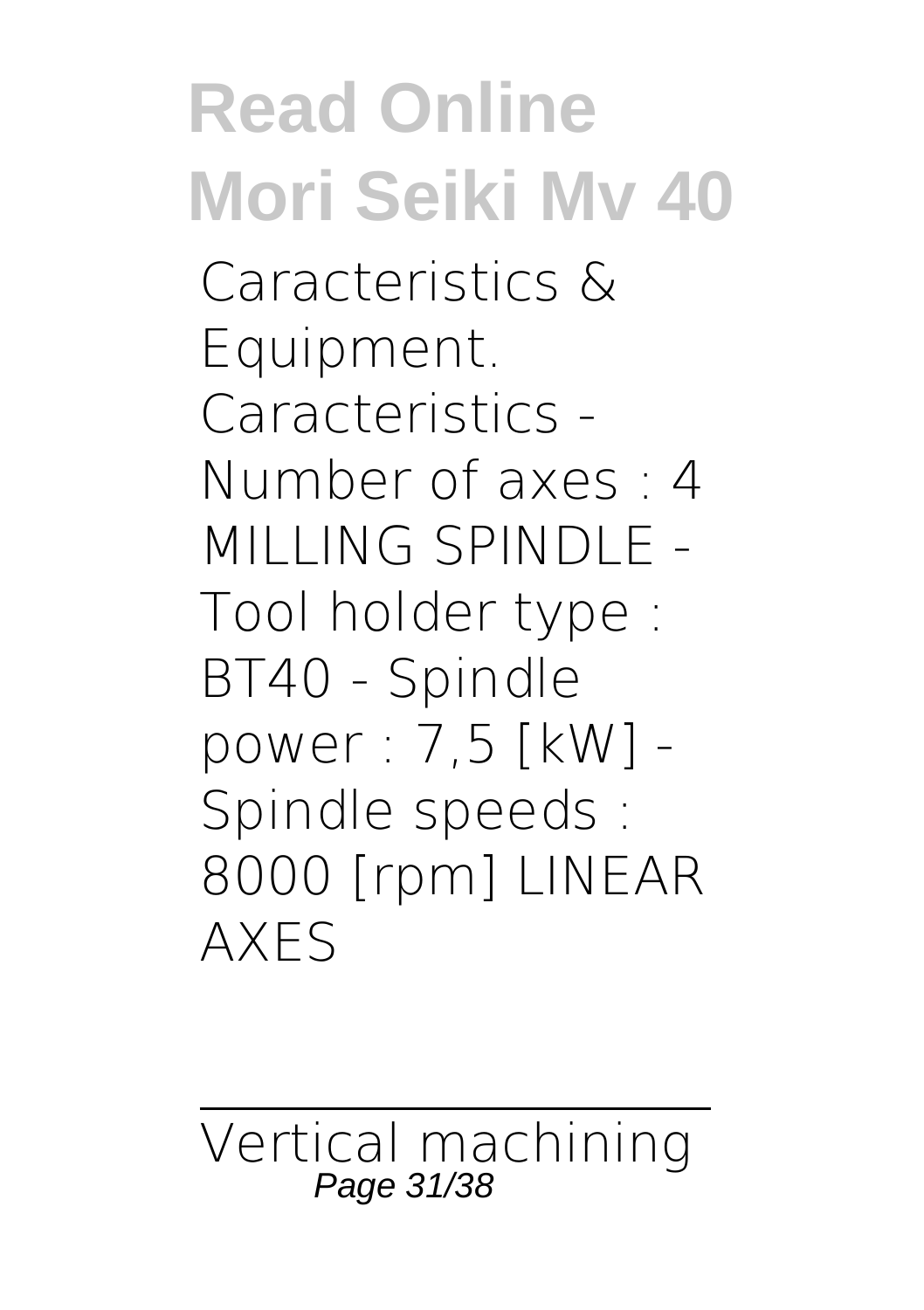### **Read Online Mori Seiki Mv 40** Caracteristics & Equipment. Caracteristics - Number of axes : 4 MILLING SPINDLE - Tool holder type : BT40 - Spindle power : 7,5 [kW] - Spindle speeds : 8000 [rpm] LINEAR AXES

Vertical machining Page 31/38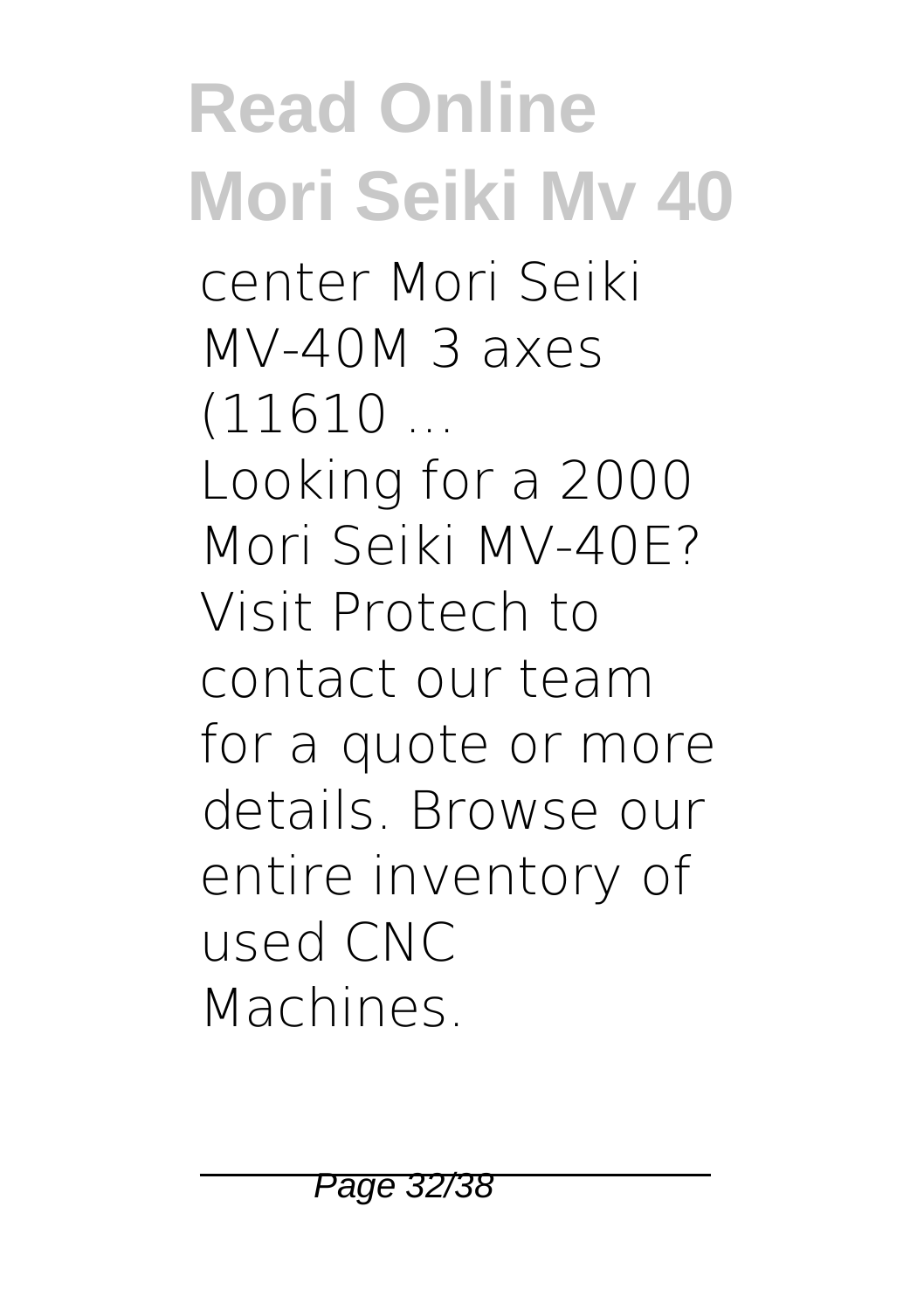center Mori Seiki MV-40M 3 axes  $(11610...$ 

Looking for a 2000 Mori Seiki MV-40E? Visit Protech to contact our team for a quote or more details. Browse our entire inventory of used CNC Machines.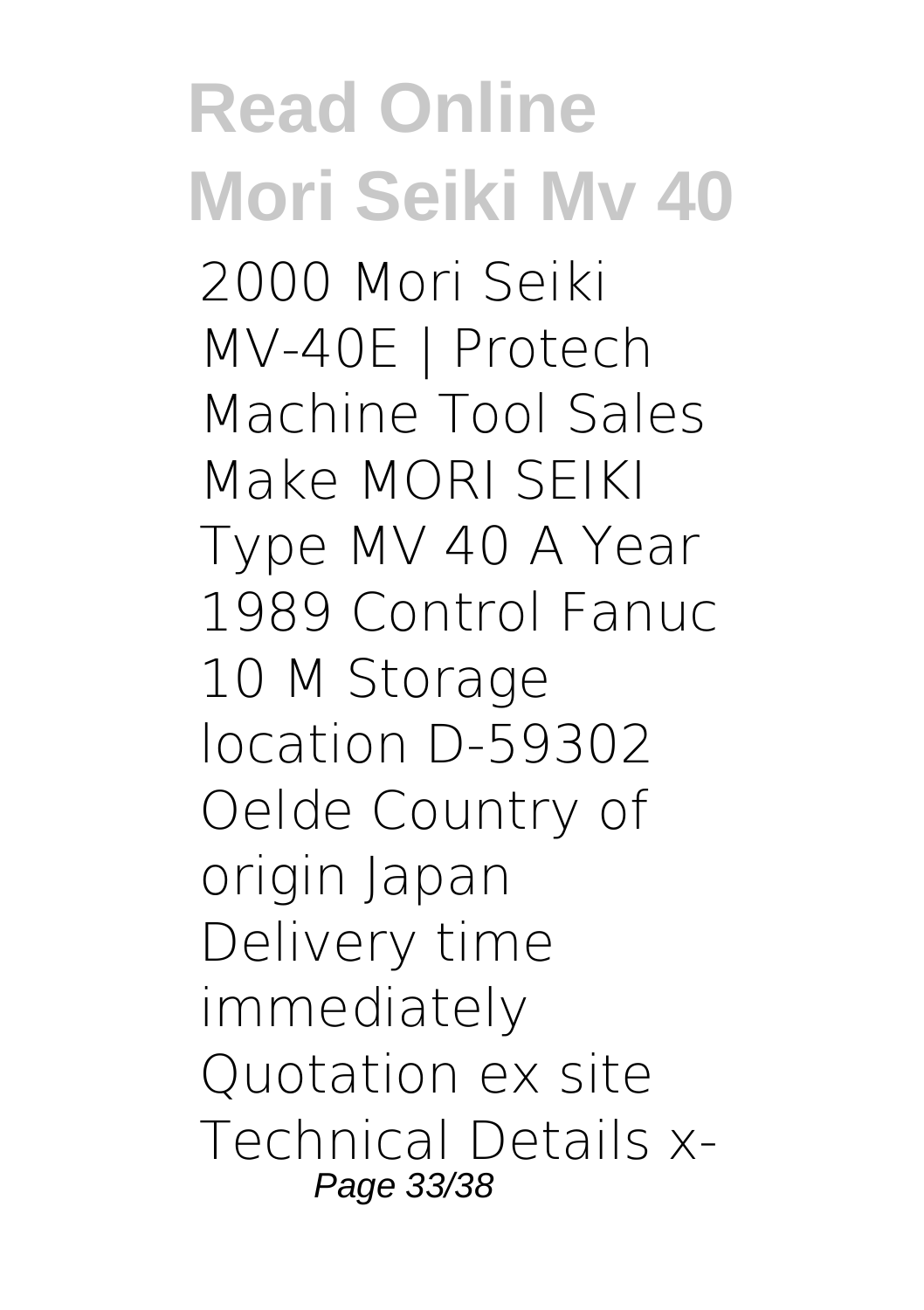**Read Online Mori Seiki Mv 40** 2000 Mori Seiki MV-40E | Protech Machine Tool Sales Make MORI SEIKI Type MV 40 A Year 1989 Control Fanuc 10 M Storage location D-59302 Oelde Country of origin Japan Delivery time immediately Quotation ex site Technical Details x-Page 33/38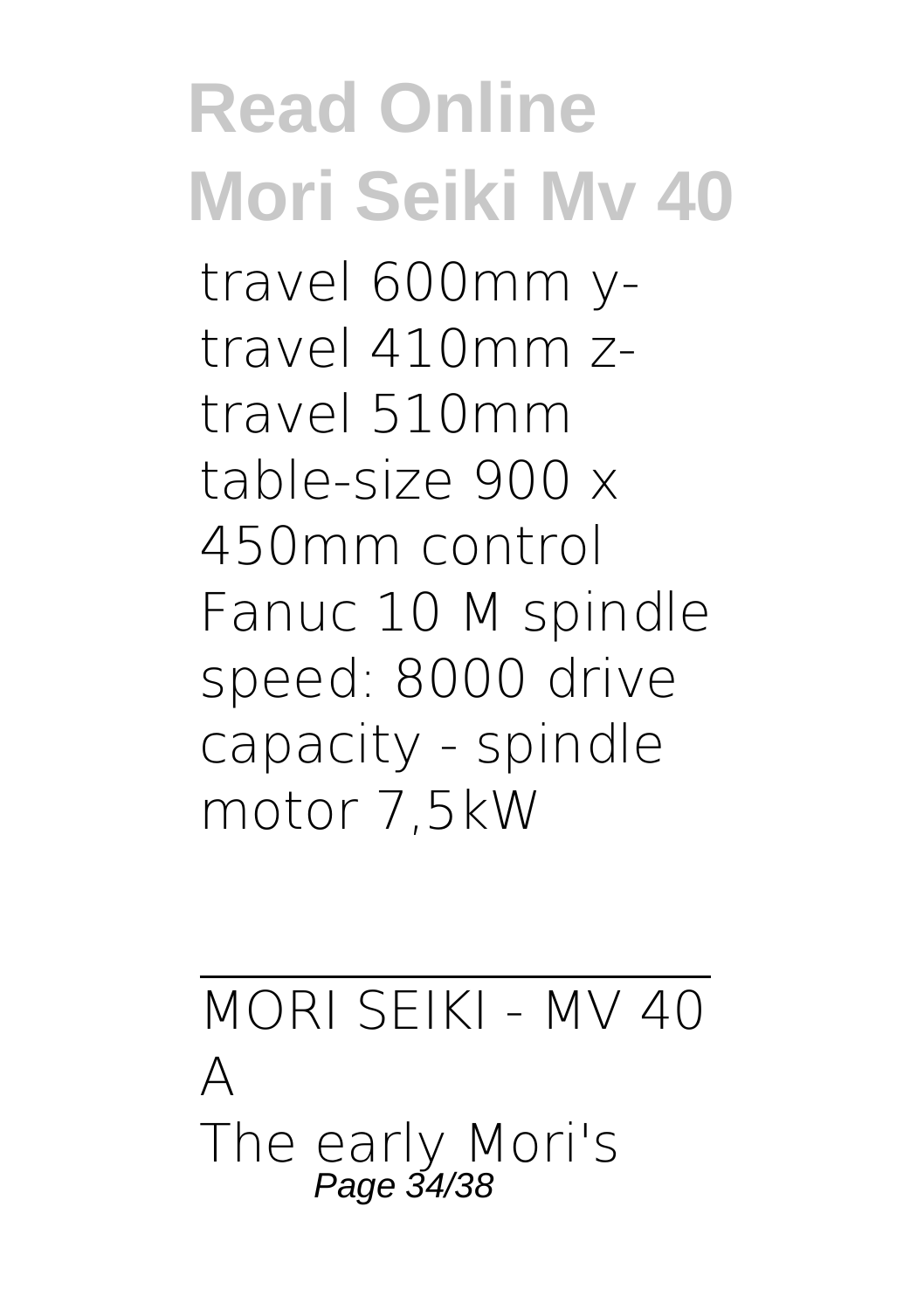### **Read Online Mori Seiki Mv 40** travel 600mm ytravel 410mm ztravel 510mm table-size 900 x 450mm control Fanuc 10 M spindle speed: 8000 drive capacity - spindle motor 7,5kW

MORI SEIKI - MV 40  $\Delta$ The early Mori's<br>Page 34/38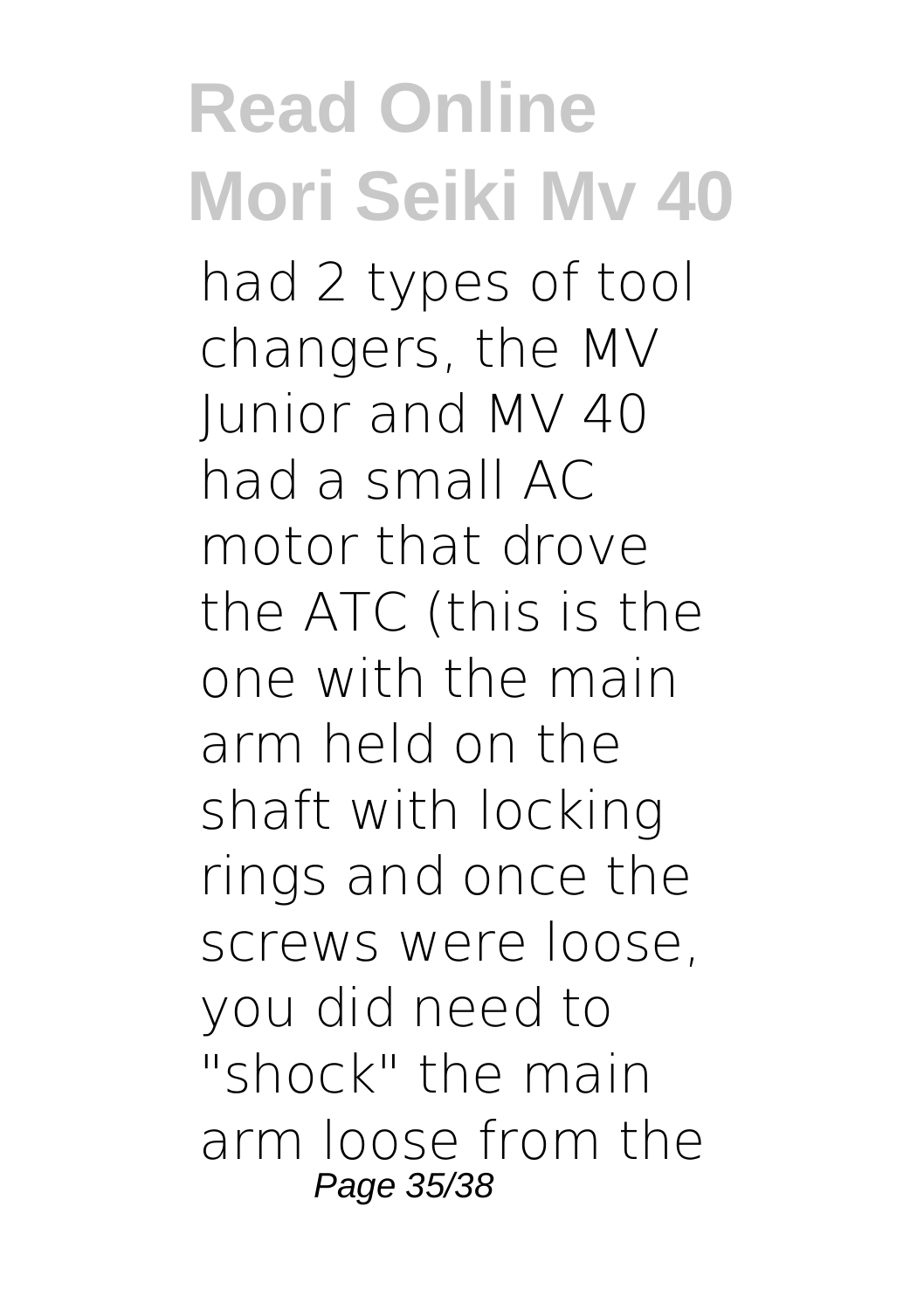**Read Online Mori Seiki Mv 40** had 2 types of tool changers, the MV Junior and MV 40 had a small AC motor that drove the ATC (this is the one with the main arm held on the shaft with locking rings and once the screws were loose, you did need to "shock" the main arm loose from the Page 35/38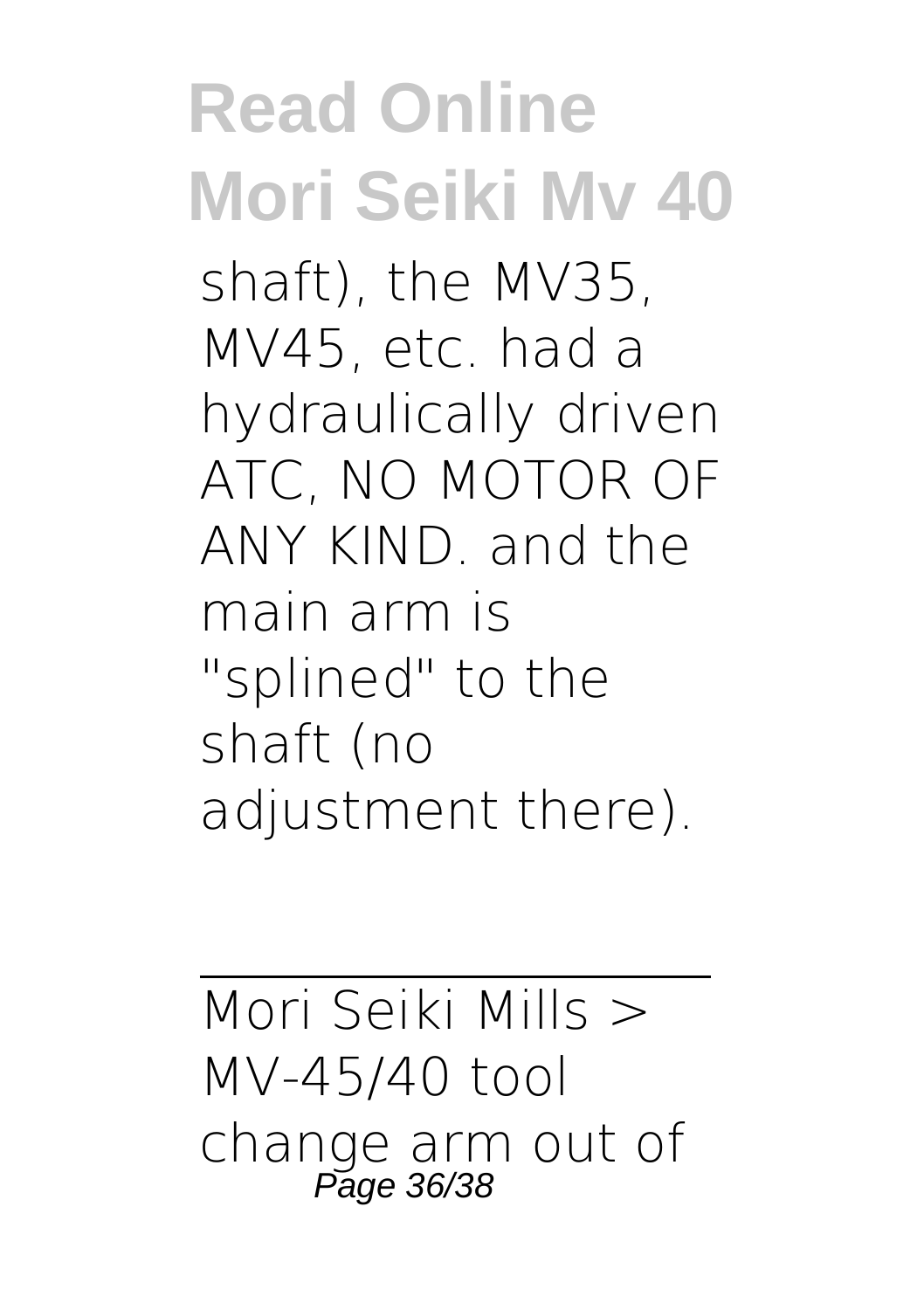### **Read Online Mori Seiki Mv 40** shaft), the MV35, MV45, etc. had a hydraulically driven ATC, NO MOTOR OF ANY KIND. and the main arm is "splined" to the shaft (no adjustment there).

Mori Seiki Mills > MV-45/40 tool change arm out of Page 36/38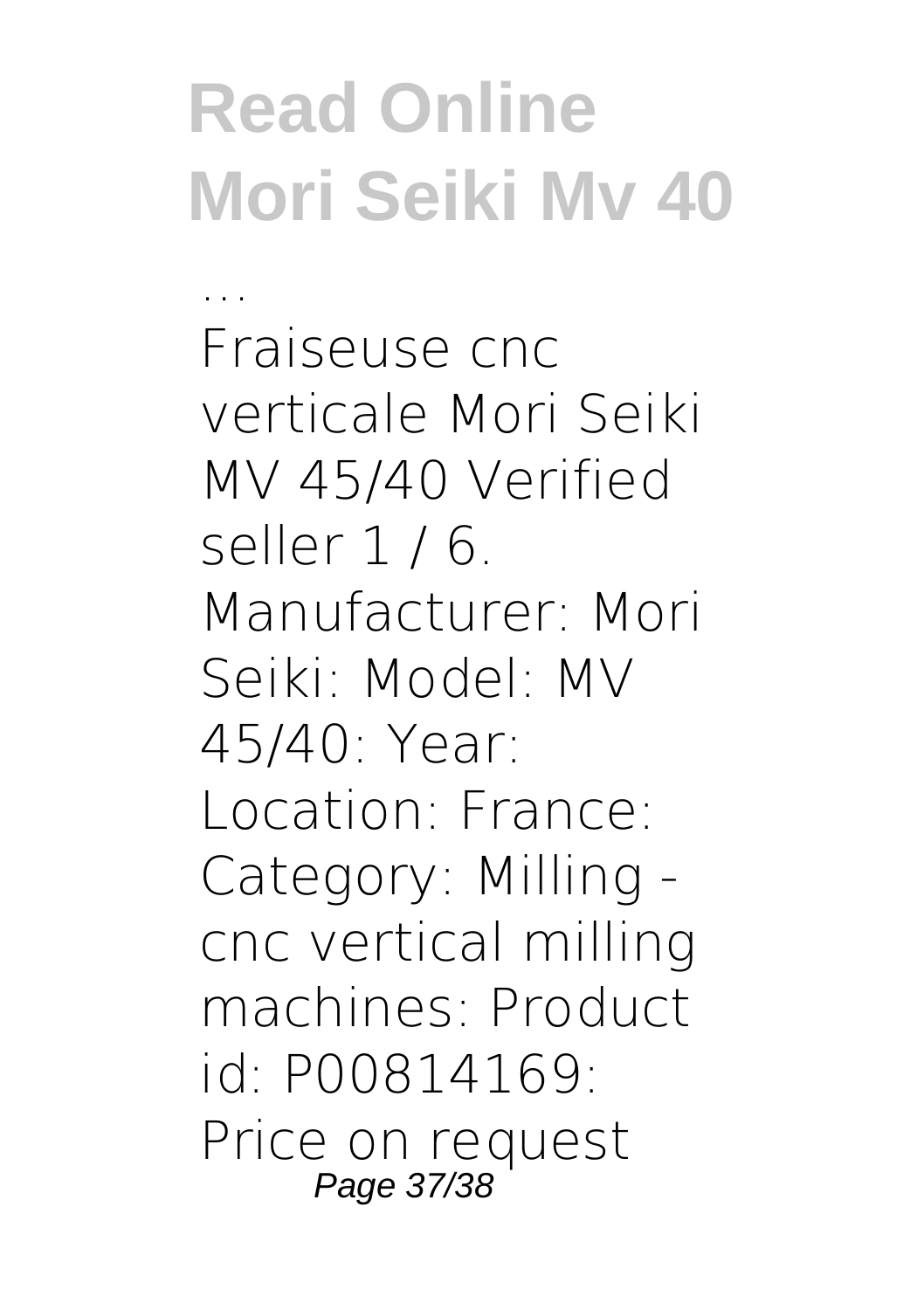... Fraiseuse cnc verticale Mori Seiki MV 45/40 Verified seller 1 / 6. Manufacturer: Mori Seiki: Model: MV 45/40: Year: Location: France: Category: Milling cnc vertical milling machines: Product id: P00814169: Price on request Page 37/38